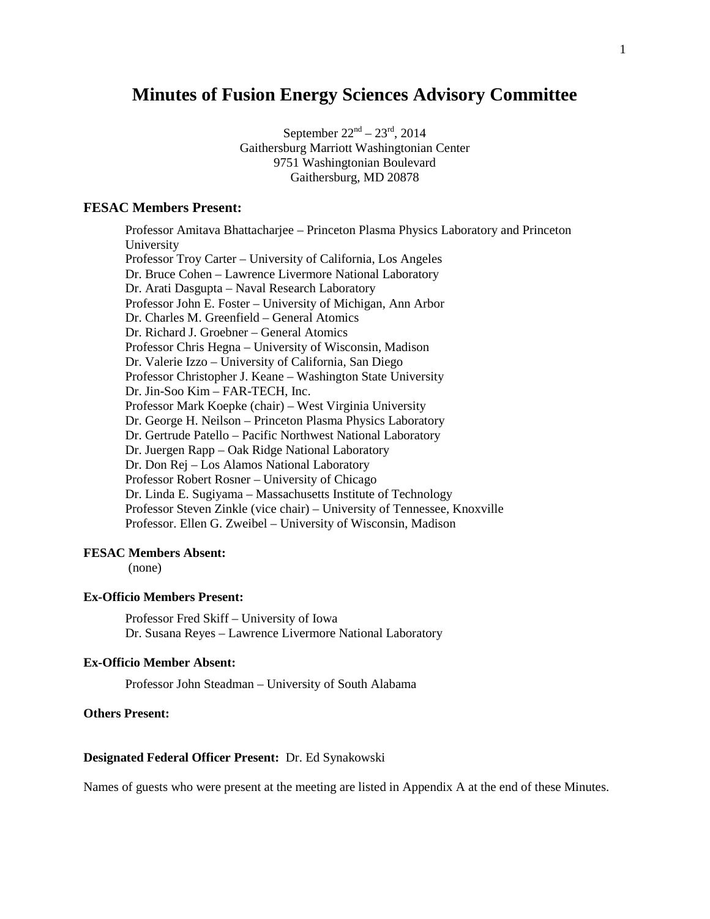# **Minutes of Fusion Energy Sciences Advisory Committee**

September  $22^{nd} - 23^{rd}$ , 2014 Gaithersburg Marriott Washingtonian Center 9751 Washingtonian Boulevard Gaithersburg, MD 20878

# **FESAC Members Present:**

Professor Amitava Bhattacharjee – Princeton Plasma Physics Laboratory and Princeton University Professor Troy Carter – University of California, Los Angeles Dr. Bruce Cohen – Lawrence Livermore National Laboratory Dr. Arati Dasgupta – Naval Research Laboratory Professor John E. Foster – University of Michigan, Ann Arbor Dr. Charles M. Greenfield – General Atomics Dr. Richard J. Groebner – General Atomics Professor Chris Hegna – University of Wisconsin, Madison Dr. Valerie Izzo – University of California, San Diego Professor Christopher J. Keane – Washington State University Dr. Jin-Soo Kim – FAR-TECH, Inc. Professor Mark Koepke (chair) – West Virginia University Dr. George H. Neilson – Princeton Plasma Physics Laboratory Dr. Gertrude Patello – Pacific Northwest National Laboratory Dr. Juergen Rapp – Oak Ridge National Laboratory Dr. Don Rej – Los Alamos National Laboratory Professor Robert Rosner – University of Chicago Dr. Linda E. Sugiyama – Massachusetts Institute of Technology Professor Steven Zinkle (vice chair) – University of Tennessee, Knoxville Professor. Ellen G. Zweibel – University of Wisconsin, Madison

## **FESAC Members Absent:**

(none)

## **Ex-Officio Members Present:**

Professor Fred Skiff – University of Iowa Dr. Susana Reyes – Lawrence Livermore National Laboratory

## **Ex-Officio Member Absent:**

Professor John Steadman – University of South Alabama

#### **Others Present:**

#### **Designated Federal Officer Present:** Dr. Ed Synakowski

Names of guests who were present at the meeting are listed in Appendix A at the end of these Minutes.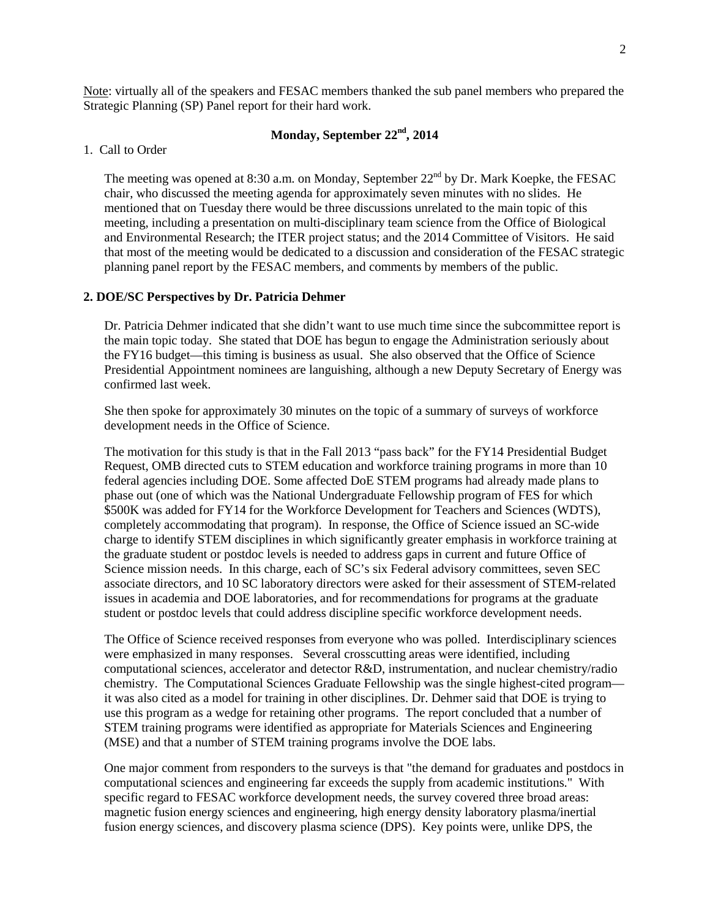Note: virtually all of the speakers and FESAC members thanked the sub panel members who prepared the Strategic Planning (SP) Panel report for their hard work.

# **Monday, September 22nd, 2014**

#### 1. Call to Order

The meeting was opened at 8:30 a.m. on Monday, September  $22<sup>nd</sup>$  by Dr. Mark Koepke, the FESAC chair, who discussed the meeting agenda for approximately seven minutes with no slides. He mentioned that on Tuesday there would be three discussions unrelated to the main topic of this meeting, including a presentation on multi-disciplinary team science from the Office of Biological and Environmental Research; the ITER project status; and the 2014 Committee of Visitors. He said that most of the meeting would be dedicated to a discussion and consideration of the FESAC strategic planning panel report by the FESAC members, and comments by members of the public.

## **2. DOE/SC Perspectives by Dr. Patricia Dehmer**

Dr. Patricia Dehmer indicated that she didn't want to use much time since the subcommittee report is the main topic today. She stated that DOE has begun to engage the Administration seriously about the FY16 budget—this timing is business as usual. She also observed that the Office of Science Presidential Appointment nominees are languishing, although a new Deputy Secretary of Energy was confirmed last week.

She then spoke for approximately 30 minutes on the topic of a summary of surveys of workforce development needs in the Office of Science.

The motivation for this study is that in the Fall 2013 "pass back" for the FY14 Presidential Budget Request, OMB directed cuts to STEM education and workforce training programs in more than 10 federal agencies including DOE. Some affected DoE STEM programs had already made plans to phase out (one of which was the National Undergraduate Fellowship program of FES for which \$500K was added for FY14 for the Workforce Development for Teachers and Sciences (WDTS), completely accommodating that program). In response, the Office of Science issued an SC-wide charge to identify STEM disciplines in which significantly greater emphasis in workforce training at the graduate student or postdoc levels is needed to address gaps in current and future Office of Science mission needs. In this charge, each of SC's six Federal advisory committees, seven SEC associate directors, and 10 SC laboratory directors were asked for their assessment of STEM-related issues in academia and DOE laboratories, and for recommendations for programs at the graduate student or postdoc levels that could address discipline specific workforce development needs.

The Office of Science received responses from everyone who was polled. Interdisciplinary sciences were emphasized in many responses. Several crosscutting areas were identified, including computational sciences, accelerator and detector R&D, instrumentation, and nuclear chemistry/radio chemistry. The Computational Sciences Graduate Fellowship was the single highest-cited program it was also cited as a model for training in other disciplines. Dr. Dehmer said that DOE is trying to use this program as a wedge for retaining other programs. The report concluded that a number of STEM training programs were identified as appropriate for Materials Sciences and Engineering (MSE) and that a number of STEM training programs involve the DOE labs.

One major comment from responders to the surveys is that "the demand for graduates and postdocs in computational sciences and engineering far exceeds the supply from academic institutions." With specific regard to FESAC workforce development needs, the survey covered three broad areas: magnetic fusion energy sciences and engineering, high energy density laboratory plasma/inertial fusion energy sciences, and discovery plasma science (DPS). Key points were, unlike DPS, the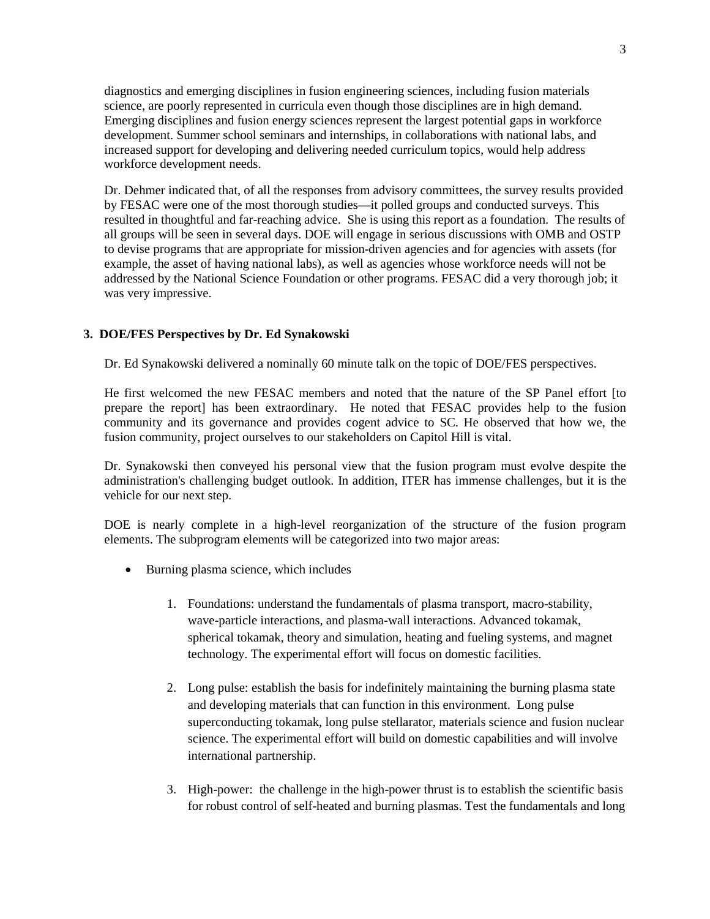diagnostics and emerging disciplines in fusion engineering sciences, including fusion materials science, are poorly represented in curricula even though those disciplines are in high demand. Emerging disciplines and fusion energy sciences represent the largest potential gaps in workforce development. Summer school seminars and internships, in collaborations with national labs, and increased support for developing and delivering needed curriculum topics, would help address workforce development needs.

Dr. Dehmer indicated that, of all the responses from advisory committees, the survey results provided by FESAC were one of the most thorough studies—it polled groups and conducted surveys. This resulted in thoughtful and far-reaching advice. She is using this report as a foundation. The results of all groups will be seen in several days. DOE will engage in serious discussions with OMB and OSTP to devise programs that are appropriate for mission-driven agencies and for agencies with assets (for example, the asset of having national labs), as well as agencies whose workforce needs will not be addressed by the National Science Foundation or other programs. FESAC did a very thorough job; it was very impressive.

# **3. DOE/FES Perspectives by Dr. Ed Synakowski**

Dr. Ed Synakowski delivered a nominally 60 minute talk on the topic of DOE/FES perspectives.

He first welcomed the new FESAC members and noted that the nature of the SP Panel effort [to prepare the report] has been extraordinary. He noted that FESAC provides help to the fusion community and its governance and provides cogent advice to SC. He observed that how we, the fusion community, project ourselves to our stakeholders on Capitol Hill is vital.

Dr. Synakowski then conveyed his personal view that the fusion program must evolve despite the administration's challenging budget outlook. In addition, ITER has immense challenges, but it is the vehicle for our next step.

DOE is nearly complete in a high-level reorganization of the structure of the fusion program elements. The subprogram elements will be categorized into two major areas:

- Burning plasma science, which includes
	- 1. Foundations: understand the fundamentals of plasma transport, macro-stability, wave-particle interactions, and plasma-wall interactions. Advanced tokamak, spherical tokamak, theory and simulation, heating and fueling systems, and magnet technology. The experimental effort will focus on domestic facilities.
	- 2. Long pulse: establish the basis for indefinitely maintaining the burning plasma state and developing materials that can function in this environment. Long pulse superconducting tokamak, long pulse stellarator, materials science and fusion nuclear science. The experimental effort will build on domestic capabilities and will involve international partnership.
	- 3. High-power: the challenge in the high-power thrust is to establish the scientific basis for robust control of self-heated and burning plasmas. Test the fundamentals and long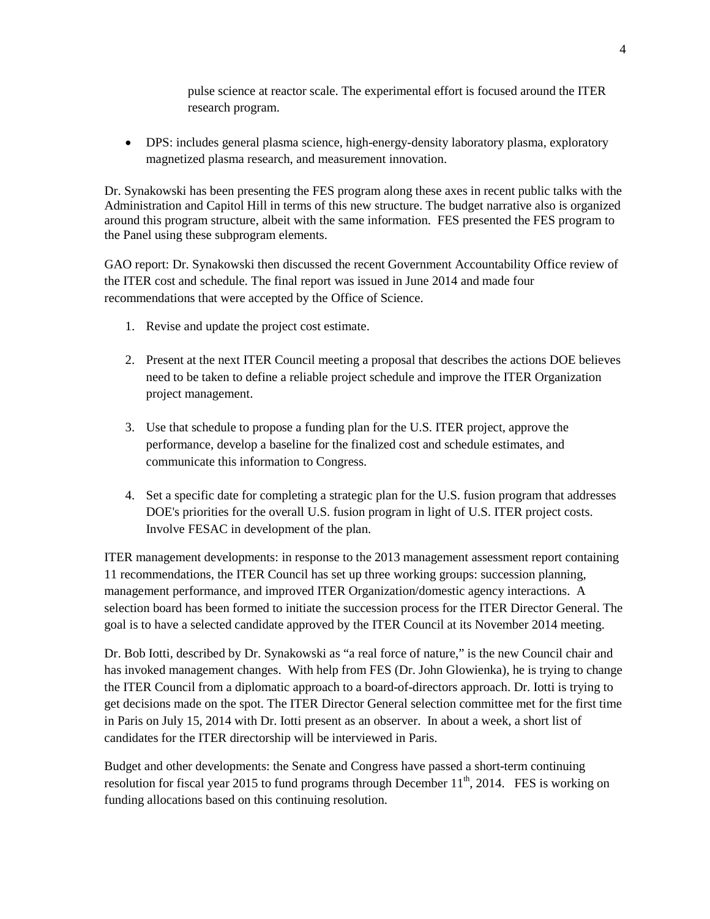pulse science at reactor scale. The experimental effort is focused around the ITER research program.

• DPS: includes general plasma science, high-energy-density laboratory plasma, exploratory magnetized plasma research, and measurement innovation.

Dr. Synakowski has been presenting the FES program along these axes in recent public talks with the Administration and Capitol Hill in terms of this new structure. The budget narrative also is organized around this program structure, albeit with the same information. FES presented the FES program to the Panel using these subprogram elements.

GAO report: Dr. Synakowski then discussed the recent Government Accountability Office review of the ITER cost and schedule. The final report was issued in June 2014 and made four recommendations that were accepted by the Office of Science.

- 1. Revise and update the project cost estimate.
- 2. Present at the next ITER Council meeting a proposal that describes the actions DOE believes need to be taken to define a reliable project schedule and improve the ITER Organization project management.
- 3. Use that schedule to propose a funding plan for the U.S. ITER project, approve the performance, develop a baseline for the finalized cost and schedule estimates, and communicate this information to Congress.
- 4. Set a specific date for completing a strategic plan for the U.S. fusion program that addresses DOE's priorities for the overall U.S. fusion program in light of U.S. ITER project costs. Involve FESAC in development of the plan.

ITER management developments: in response to the 2013 management assessment report containing 11 recommendations, the ITER Council has set up three working groups: succession planning, management performance, and improved ITER Organization/domestic agency interactions. A selection board has been formed to initiate the succession process for the ITER Director General. The goal is to have a selected candidate approved by the ITER Council at its November 2014 meeting.

Dr. Bob Iotti, described by Dr. Synakowski as "a real force of nature," is the new Council chair and has invoked management changes. With help from FES (Dr. John Glowienka), he is trying to change the ITER Council from a diplomatic approach to a board-of-directors approach. Dr. Iotti is trying to get decisions made on the spot. The ITER Director General selection committee met for the first time in Paris on July 15, 2014 with Dr. Iotti present as an observer. In about a week, a short list of candidates for the ITER directorship will be interviewed in Paris.

Budget and other developments: the Senate and Congress have passed a short-term continuing resolution for fiscal year 2015 to fund programs through December  $11^{th}$ , 2014. FES is working on funding allocations based on this continuing resolution.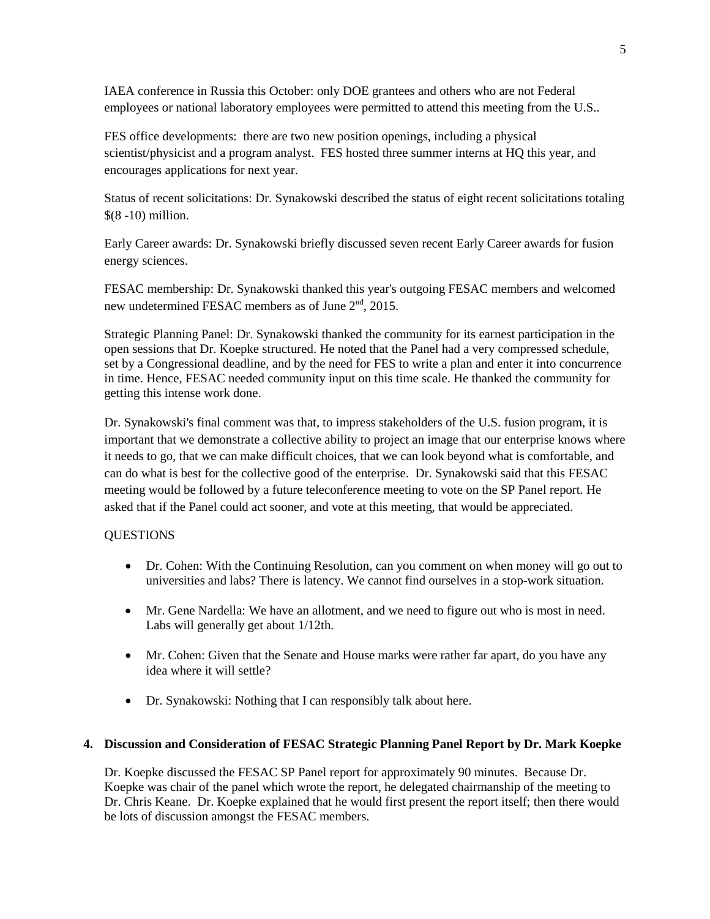IAEA conference in Russia this October: only DOE grantees and others who are not Federal employees or national laboratory employees were permitted to attend this meeting from the U.S..

FES office developments: there are two new position openings, including a physical scientist/physicist and a program analyst. FES hosted three summer interns at HQ this year, and encourages applications for next year.

Status of recent solicitations: Dr. Synakowski described the status of eight recent solicitations totaling \$(8 -10) million.

Early Career awards: Dr. Synakowski briefly discussed seven recent Early Career awards for fusion energy sciences.

FESAC membership: Dr. Synakowski thanked this year's outgoing FESAC members and welcomed new undetermined FESAC members as of June  $2<sup>nd</sup>$ , 2015.

Strategic Planning Panel: Dr. Synakowski thanked the community for its earnest participation in the open sessions that Dr. Koepke structured. He noted that the Panel had a very compressed schedule, set by a Congressional deadline, and by the need for FES to write a plan and enter it into concurrence in time. Hence, FESAC needed community input on this time scale. He thanked the community for getting this intense work done.

Dr. Synakowski's final comment was that, to impress stakeholders of the U.S. fusion program, it is important that we demonstrate a collective ability to project an image that our enterprise knows where it needs to go, that we can make difficult choices, that we can look beyond what is comfortable, and can do what is best for the collective good of the enterprise. Dr. Synakowski said that this FESAC meeting would be followed by a future teleconference meeting to vote on the SP Panel report. He asked that if the Panel could act sooner, and vote at this meeting, that would be appreciated.

# **QUESTIONS**

- Dr. Cohen: With the Continuing Resolution, can you comment on when money will go out to universities and labs? There is latency. We cannot find ourselves in a stop-work situation.
- Mr. Gene Nardella: We have an allotment, and we need to figure out who is most in need. Labs will generally get about 1/12th.
- Mr. Cohen: Given that the Senate and House marks were rather far apart, do you have any idea where it will settle?
- Dr. Synakowski: Nothing that I can responsibly talk about here.

# **4. Discussion and Consideration of FESAC Strategic Planning Panel Report by Dr. Mark Koepke**

Dr. Koepke discussed the FESAC SP Panel report for approximately 90 minutes. Because Dr. Koepke was chair of the panel which wrote the report, he delegated chairmanship of the meeting to Dr. Chris Keane. Dr. Koepke explained that he would first present the report itself; then there would be lots of discussion amongst the FESAC members.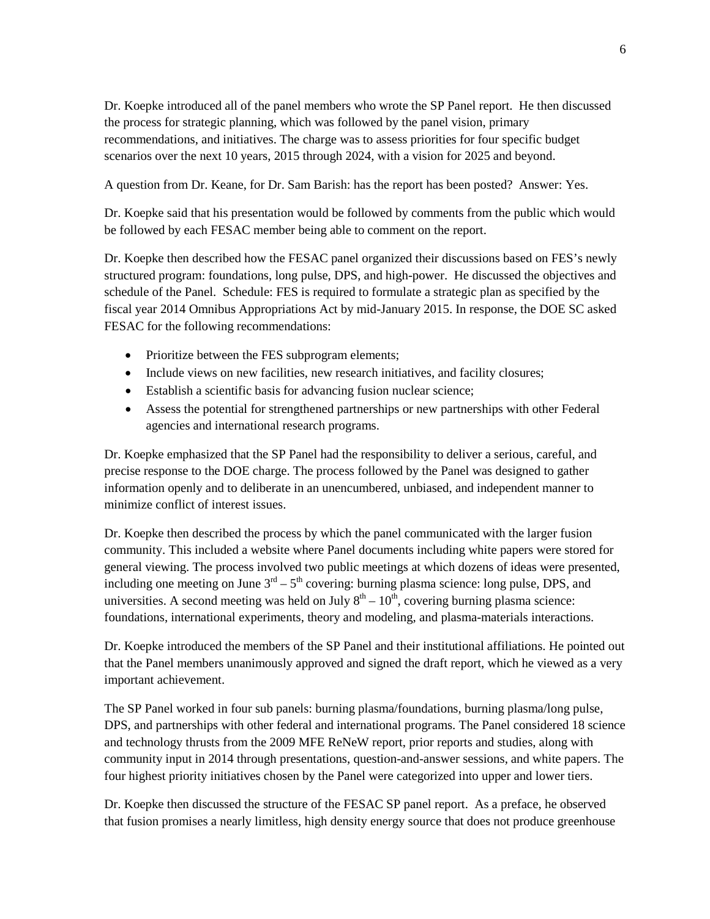Dr. Koepke introduced all of the panel members who wrote the SP Panel report. He then discussed the process for strategic planning, which was followed by the panel vision, primary recommendations, and initiatives. The charge was to assess priorities for four specific budget scenarios over the next 10 years, 2015 through 2024, with a vision for 2025 and beyond.

A question from Dr. Keane, for Dr. Sam Barish: has the report has been posted? Answer: Yes.

Dr. Koepke said that his presentation would be followed by comments from the public which would be followed by each FESAC member being able to comment on the report.

Dr. Koepke then described how the FESAC panel organized their discussions based on FES's newly structured program: foundations, long pulse, DPS, and high-power. He discussed the objectives and schedule of the Panel. Schedule: FES is required to formulate a strategic plan as specified by the fiscal year 2014 Omnibus Appropriations Act by mid-January 2015. In response, the DOE SC asked FESAC for the following recommendations:

- Prioritize between the FES subprogram elements;
- Include views on new facilities, new research initiatives, and facility closures;
- Establish a scientific basis for advancing fusion nuclear science;
- Assess the potential for strengthened partnerships or new partnerships with other Federal agencies and international research programs.

Dr. Koepke emphasized that the SP Panel had the responsibility to deliver a serious, careful, and precise response to the DOE charge. The process followed by the Panel was designed to gather information openly and to deliberate in an unencumbered, unbiased, and independent manner to minimize conflict of interest issues.

Dr. Koepke then described the process by which the panel communicated with the larger fusion community. This included a website where Panel documents including white papers were stored for general viewing. The process involved two public meetings at which dozens of ideas were presented, including one meeting on June  $3<sup>rd</sup> - 5<sup>th</sup>$  covering: burning plasma science: long pulse, DPS, and universities. A second meeting was held on July  $8<sup>th</sup> - 10<sup>th</sup>$ , covering burning plasma science: foundations, international experiments, theory and modeling, and plasma-materials interactions.

Dr. Koepke introduced the members of the SP Panel and their institutional affiliations. He pointed out that the Panel members unanimously approved and signed the draft report, which he viewed as a very important achievement.

The SP Panel worked in four sub panels: burning plasma/foundations, burning plasma/long pulse, DPS, and partnerships with other federal and international programs. The Panel considered 18 science and technology thrusts from the 2009 MFE ReNeW report, prior reports and studies, along with community input in 2014 through presentations, question-and-answer sessions, and white papers. The four highest priority initiatives chosen by the Panel were categorized into upper and lower tiers.

Dr. Koepke then discussed the structure of the FESAC SP panel report. As a preface, he observed that fusion promises a nearly limitless, high density energy source that does not produce greenhouse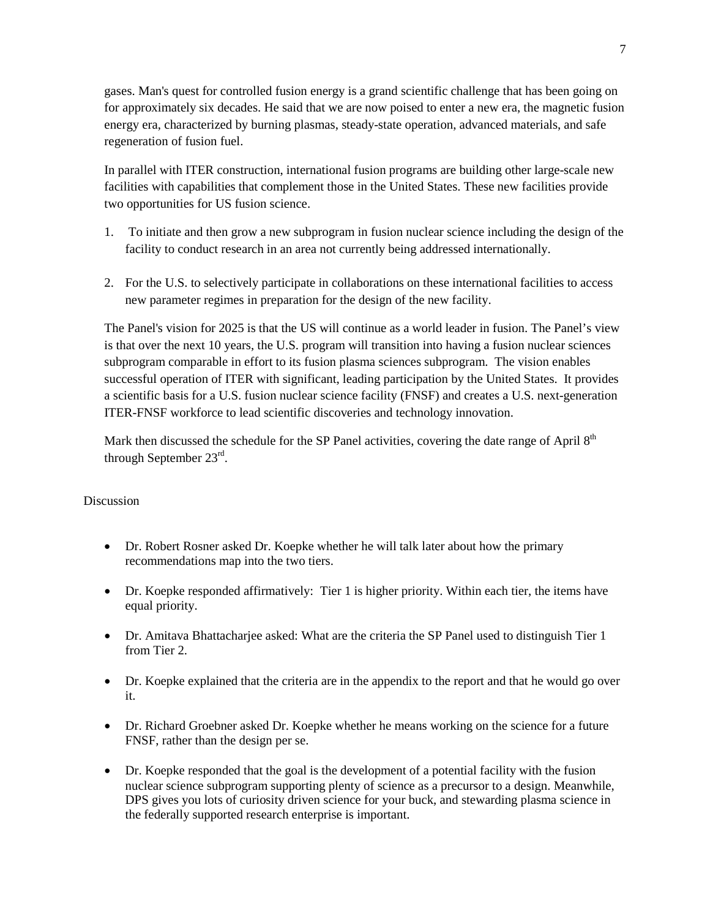gases. Man's quest for controlled fusion energy is a grand scientific challenge that has been going on for approximately six decades. He said that we are now poised to enter a new era, the magnetic fusion energy era, characterized by burning plasmas, steady-state operation, advanced materials, and safe regeneration of fusion fuel.

In parallel with ITER construction, international fusion programs are building other large-scale new facilities with capabilities that complement those in the United States. These new facilities provide two opportunities for US fusion science.

- 1. To initiate and then grow a new subprogram in fusion nuclear science including the design of the facility to conduct research in an area not currently being addressed internationally.
- 2. For the U.S. to selectively participate in collaborations on these international facilities to access new parameter regimes in preparation for the design of the new facility.

The Panel's vision for 2025 is that the US will continue as a world leader in fusion. The Panel's view is that over the next 10 years, the U.S. program will transition into having a fusion nuclear sciences subprogram comparable in effort to its fusion plasma sciences subprogram. The vision enables successful operation of ITER with significant, leading participation by the United States. It provides a scientific basis for a U.S. fusion nuclear science facility (FNSF) and creates a U.S. next-generation ITER-FNSF workforce to lead scientific discoveries and technology innovation.

Mark then discussed the schedule for the SP Panel activities, covering the date range of April 8<sup>th</sup> through September 23rd.

# Discussion

- Dr. Robert Rosner asked Dr. Koepke whether he will talk later about how the primary recommendations map into the two tiers.
- Dr. Koepke responded affirmatively: Tier 1 is higher priority. Within each tier, the items have equal priority.
- Dr. Amitava Bhattacharjee asked: What are the criteria the SP Panel used to distinguish Tier 1 from Tier 2.
- Dr. Koepke explained that the criteria are in the appendix to the report and that he would go over it.
- Dr. Richard Groebner asked Dr. Koepke whether he means working on the science for a future FNSF, rather than the design per se.
- Dr. Koepke responded that the goal is the development of a potential facility with the fusion nuclear science subprogram supporting plenty of science as a precursor to a design. Meanwhile, DPS gives you lots of curiosity driven science for your buck, and stewarding plasma science in the federally supported research enterprise is important.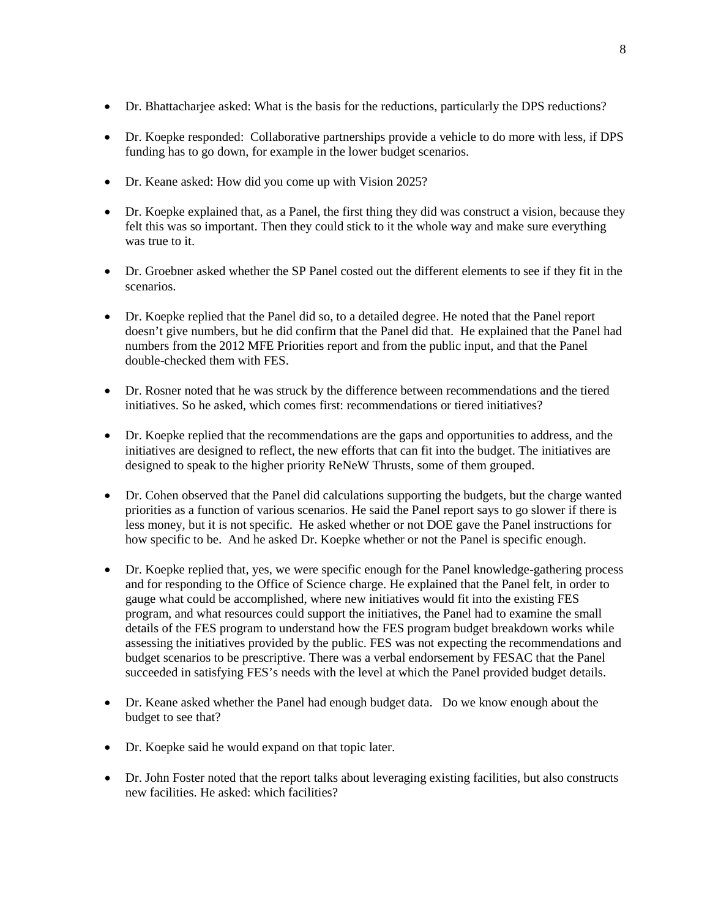- Dr. Bhattacharjee asked: What is the basis for the reductions, particularly the DPS reductions?
- Dr. Koepke responded: Collaborative partnerships provide a vehicle to do more with less, if DPS funding has to go down, for example in the lower budget scenarios.
- Dr. Keane asked: How did you come up with Vision 2025?
- Dr. Koepke explained that, as a Panel, the first thing they did was construct a vision, because they felt this was so important. Then they could stick to it the whole way and make sure everything was true to it.
- Dr. Groebner asked whether the SP Panel costed out the different elements to see if they fit in the scenarios.
- Dr. Koepke replied that the Panel did so, to a detailed degree. He noted that the Panel report doesn't give numbers, but he did confirm that the Panel did that. He explained that the Panel had numbers from the 2012 MFE Priorities report and from the public input, and that the Panel double-checked them with FES.
- Dr. Rosner noted that he was struck by the difference between recommendations and the tiered initiatives. So he asked, which comes first: recommendations or tiered initiatives?
- Dr. Koepke replied that the recommendations are the gaps and opportunities to address, and the initiatives are designed to reflect, the new efforts that can fit into the budget. The initiatives are designed to speak to the higher priority ReNeW Thrusts, some of them grouped.
- Dr. Cohen observed that the Panel did calculations supporting the budgets, but the charge wanted priorities as a function of various scenarios. He said the Panel report says to go slower if there is less money, but it is not specific. He asked whether or not DOE gave the Panel instructions for how specific to be. And he asked Dr. Koepke whether or not the Panel is specific enough.
- Dr. Koepke replied that, yes, we were specific enough for the Panel knowledge-gathering process and for responding to the Office of Science charge. He explained that the Panel felt, in order to gauge what could be accomplished, where new initiatives would fit into the existing FES program, and what resources could support the initiatives, the Panel had to examine the small details of the FES program to understand how the FES program budget breakdown works while assessing the initiatives provided by the public. FES was not expecting the recommendations and budget scenarios to be prescriptive. There was a verbal endorsement by FESAC that the Panel succeeded in satisfying FES's needs with the level at which the Panel provided budget details.
- Dr. Keane asked whether the Panel had enough budget data. Do we know enough about the budget to see that?
- Dr. Koepke said he would expand on that topic later.
- Dr. John Foster noted that the report talks about leveraging existing facilities, but also constructs new facilities. He asked: which facilities?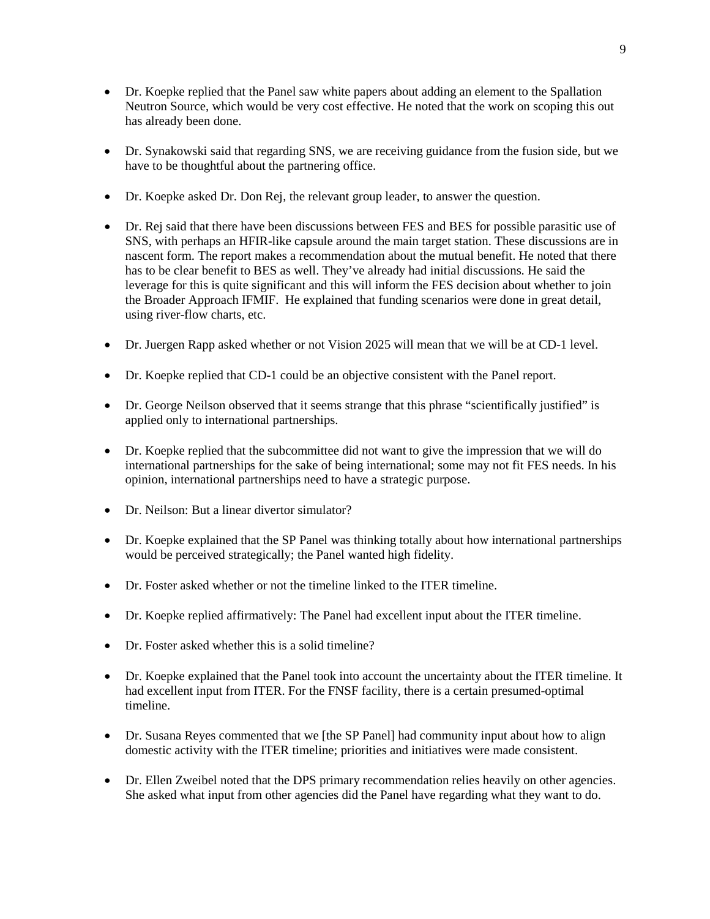- Dr. Koepke replied that the Panel saw white papers about adding an element to the Spallation Neutron Source, which would be very cost effective. He noted that the work on scoping this out has already been done.
- Dr. Synakowski said that regarding SNS, we are receiving guidance from the fusion side, but we have to be thoughtful about the partnering office.
- Dr. Koepke asked Dr. Don Rej, the relevant group leader, to answer the question.
- Dr. Rej said that there have been discussions between FES and BES for possible parasitic use of SNS, with perhaps an HFIR-like capsule around the main target station. These discussions are in nascent form. The report makes a recommendation about the mutual benefit. He noted that there has to be clear benefit to BES as well. They've already had initial discussions. He said the leverage for this is quite significant and this will inform the FES decision about whether to join the Broader Approach IFMIF. He explained that funding scenarios were done in great detail, using river-flow charts, etc.
- Dr. Juergen Rapp asked whether or not Vision 2025 will mean that we will be at CD-1 level.
- Dr. Koepke replied that CD-1 could be an objective consistent with the Panel report.
- Dr. George Neilson observed that it seems strange that this phrase "scientifically justified" is applied only to international partnerships.
- Dr. Koepke replied that the subcommittee did not want to give the impression that we will do international partnerships for the sake of being international; some may not fit FES needs. In his opinion, international partnerships need to have a strategic purpose.
- Dr. Neilson: But a linear divertor simulator?
- Dr. Koepke explained that the SP Panel was thinking totally about how international partnerships would be perceived strategically; the Panel wanted high fidelity.
- Dr. Foster asked whether or not the timeline linked to the ITER timeline.
- Dr. Koepke replied affirmatively: The Panel had excellent input about the ITER timeline.
- Dr. Foster asked whether this is a solid timeline?
- Dr. Koepke explained that the Panel took into account the uncertainty about the ITER timeline. It had excellent input from ITER. For the FNSF facility, there is a certain presumed-optimal timeline.
- Dr. Susana Reyes commented that we [the SP Panel] had community input about how to align domestic activity with the ITER timeline; priorities and initiatives were made consistent.
- Dr. Ellen Zweibel noted that the DPS primary recommendation relies heavily on other agencies. She asked what input from other agencies did the Panel have regarding what they want to do.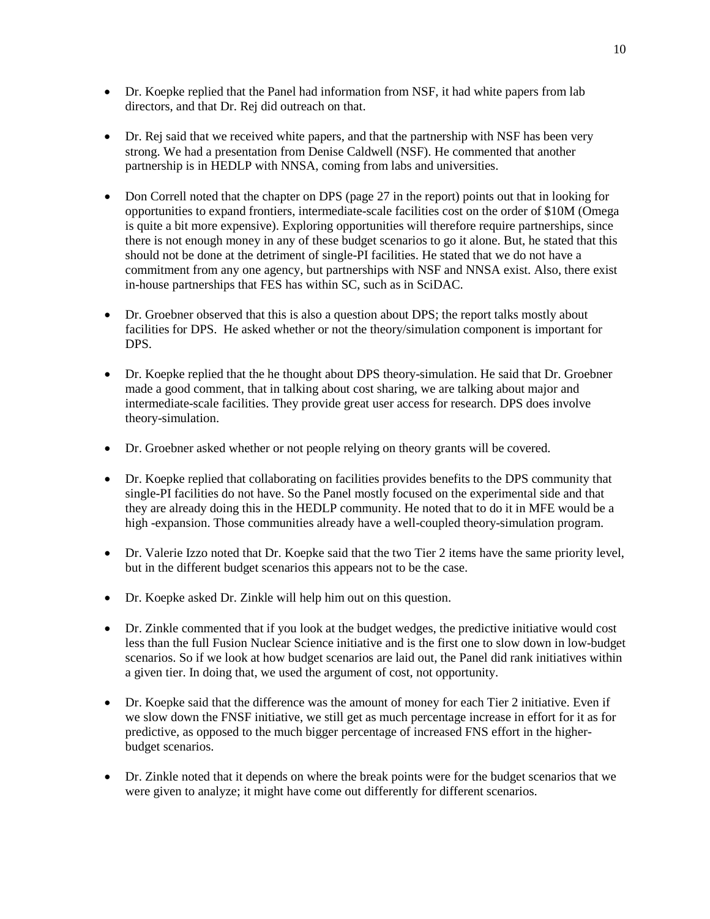- Dr. Koepke replied that the Panel had information from NSF, it had white papers from lab directors, and that Dr. Rej did outreach on that.
- Dr. Rej said that we received white papers, and that the partnership with NSF has been very strong. We had a presentation from Denise Caldwell (NSF). He commented that another partnership is in HEDLP with NNSA, coming from labs and universities.
- Don Correll noted that the chapter on DPS (page 27 in the report) points out that in looking for opportunities to expand frontiers, intermediate-scale facilities cost on the order of \$10M (Omega is quite a bit more expensive). Exploring opportunities will therefore require partnerships, since there is not enough money in any of these budget scenarios to go it alone. But, he stated that this should not be done at the detriment of single-PI facilities. He stated that we do not have a commitment from any one agency, but partnerships with NSF and NNSA exist. Also, there exist in-house partnerships that FES has within SC, such as in SciDAC.
- Dr. Groebner observed that this is also a question about DPS; the report talks mostly about facilities for DPS. He asked whether or not the theory/simulation component is important for DPS.
- Dr. Koepke replied that the he thought about DPS theory-simulation. He said that Dr. Groebner made a good comment, that in talking about cost sharing, we are talking about major and intermediate-scale facilities. They provide great user access for research. DPS does involve theory-simulation.
- Dr. Groebner asked whether or not people relying on theory grants will be covered.
- Dr. Koepke replied that collaborating on facilities provides benefits to the DPS community that single-PI facilities do not have. So the Panel mostly focused on the experimental side and that they are already doing this in the HEDLP community. He noted that to do it in MFE would be a high -expansion. Those communities already have a well-coupled theory-simulation program.
- Dr. Valerie Izzo noted that Dr. Koepke said that the two Tier 2 items have the same priority level, but in the different budget scenarios this appears not to be the case.
- Dr. Koepke asked Dr. Zinkle will help him out on this question.
- Dr. Zinkle commented that if you look at the budget wedges, the predictive initiative would cost less than the full Fusion Nuclear Science initiative and is the first one to slow down in low-budget scenarios. So if we look at how budget scenarios are laid out, the Panel did rank initiatives within a given tier. In doing that, we used the argument of cost, not opportunity.
- Dr. Koepke said that the difference was the amount of money for each Tier 2 initiative. Even if we slow down the FNSF initiative, we still get as much percentage increase in effort for it as for predictive, as opposed to the much bigger percentage of increased FNS effort in the higherbudget scenarios.
- Dr. Zinkle noted that it depends on where the break points were for the budget scenarios that we were given to analyze; it might have come out differently for different scenarios.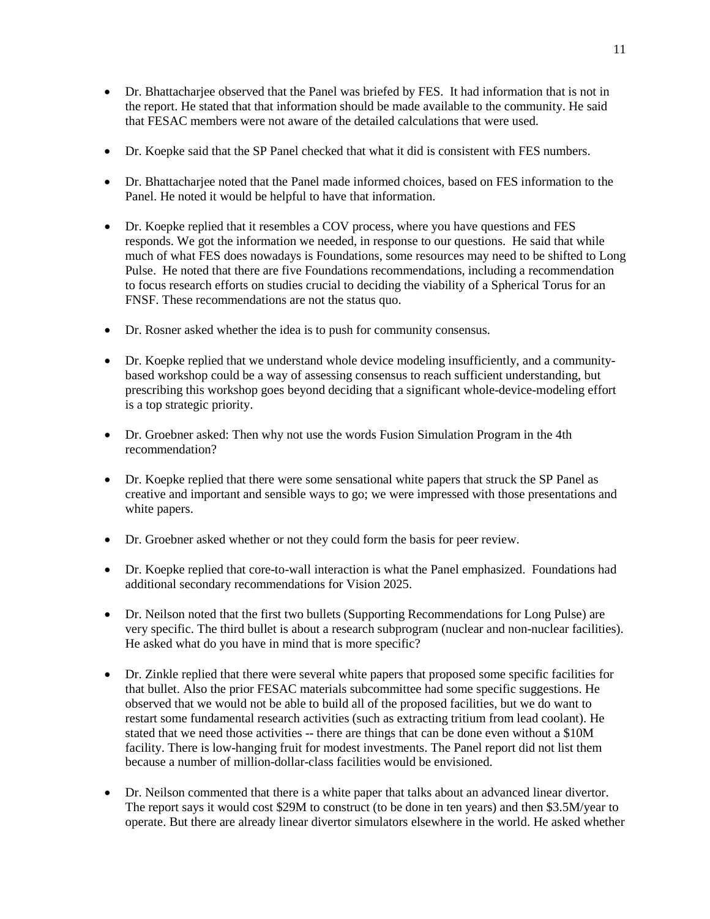- Dr. Bhattacharjee observed that the Panel was briefed by FES. It had information that is not in the report. He stated that that information should be made available to the community. He said that FESAC members were not aware of the detailed calculations that were used.
- Dr. Koepke said that the SP Panel checked that what it did is consistent with FES numbers.
- Dr. Bhattacharjee noted that the Panel made informed choices, based on FES information to the Panel. He noted it would be helpful to have that information.
- Dr. Koepke replied that it resembles a COV process, where you have questions and FES responds. We got the information we needed, in response to our questions. He said that while much of what FES does nowadays is Foundations, some resources may need to be shifted to Long Pulse. He noted that there are five Foundations recommendations, including a recommendation to focus research efforts on studies crucial to deciding the viability of a Spherical Torus for an FNSF. These recommendations are not the status quo.
- Dr. Rosner asked whether the idea is to push for community consensus.
- Dr. Koepke replied that we understand whole device modeling insufficiently, and a communitybased workshop could be a way of assessing consensus to reach sufficient understanding, but prescribing this workshop goes beyond deciding that a significant whole-device-modeling effort is a top strategic priority.
- Dr. Groebner asked: Then why not use the words Fusion Simulation Program in the 4th recommendation?
- Dr. Koepke replied that there were some sensational white papers that struck the SP Panel as creative and important and sensible ways to go; we were impressed with those presentations and white papers.
- Dr. Groebner asked whether or not they could form the basis for peer review.
- Dr. Koepke replied that core-to-wall interaction is what the Panel emphasized. Foundations had additional secondary recommendations for Vision 2025.
- Dr. Neilson noted that the first two bullets (Supporting Recommendations for Long Pulse) are very specific. The third bullet is about a research subprogram (nuclear and non-nuclear facilities). He asked what do you have in mind that is more specific?
- Dr. Zinkle replied that there were several white papers that proposed some specific facilities for that bullet. Also the prior FESAC materials subcommittee had some specific suggestions. He observed that we would not be able to build all of the proposed facilities, but we do want to restart some fundamental research activities (such as extracting tritium from lead coolant). He stated that we need those activities -- there are things that can be done even without a \$10M facility. There is low-hanging fruit for modest investments. The Panel report did not list them because a number of million-dollar-class facilities would be envisioned.
- Dr. Neilson commented that there is a white paper that talks about an advanced linear divertor. The report says it would cost \$29M to construct (to be done in ten years) and then \$3.5M/year to operate. But there are already linear divertor simulators elsewhere in the world. He asked whether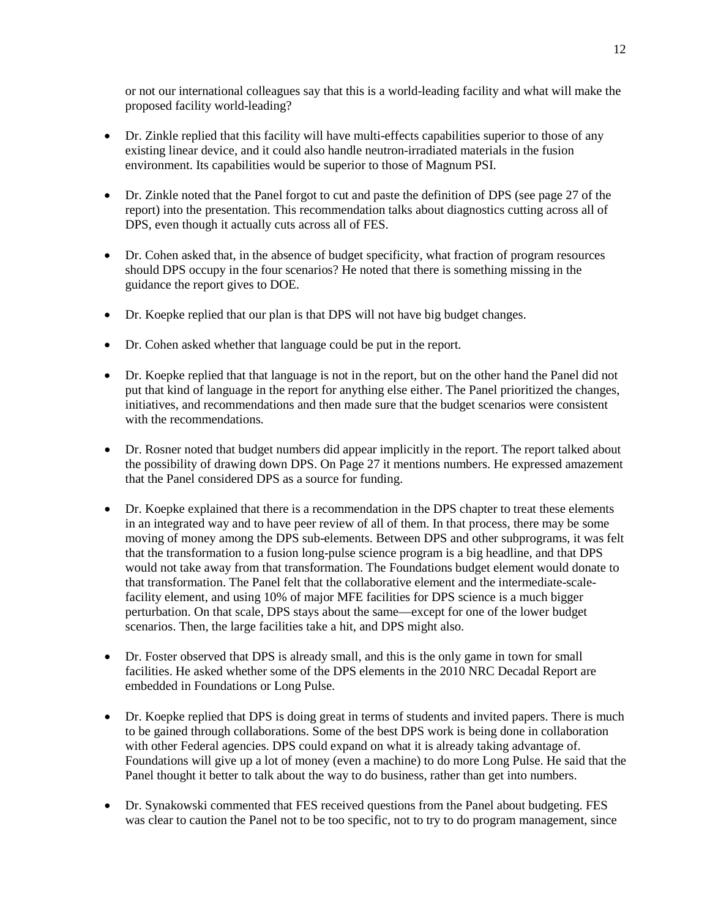or not our international colleagues say that this is a world-leading facility and what will make the proposed facility world-leading?

- Dr. Zinkle replied that this facility will have multi-effects capabilities superior to those of any existing linear device, and it could also handle neutron-irradiated materials in the fusion environment. Its capabilities would be superior to those of Magnum PSI.
- Dr. Zinkle noted that the Panel forgot to cut and paste the definition of DPS (see page 27 of the report) into the presentation. This recommendation talks about diagnostics cutting across all of DPS, even though it actually cuts across all of FES.
- Dr. Cohen asked that, in the absence of budget specificity, what fraction of program resources should DPS occupy in the four scenarios? He noted that there is something missing in the guidance the report gives to DOE.
- Dr. Koepke replied that our plan is that DPS will not have big budget changes.
- Dr. Cohen asked whether that language could be put in the report.
- Dr. Koepke replied that that language is not in the report, but on the other hand the Panel did not put that kind of language in the report for anything else either. The Panel prioritized the changes, initiatives, and recommendations and then made sure that the budget scenarios were consistent with the recommendations.
- Dr. Rosner noted that budget numbers did appear implicitly in the report. The report talked about the possibility of drawing down DPS. On Page 27 it mentions numbers. He expressed amazement that the Panel considered DPS as a source for funding.
- Dr. Koepke explained that there is a recommendation in the DPS chapter to treat these elements in an integrated way and to have peer review of all of them. In that process, there may be some moving of money among the DPS sub-elements. Between DPS and other subprograms, it was felt that the transformation to a fusion long-pulse science program is a big headline, and that DPS would not take away from that transformation. The Foundations budget element would donate to that transformation. The Panel felt that the collaborative element and the intermediate-scalefacility element, and using 10% of major MFE facilities for DPS science is a much bigger perturbation. On that scale, DPS stays about the same—except for one of the lower budget scenarios. Then, the large facilities take a hit, and DPS might also.
- Dr. Foster observed that DPS is already small, and this is the only game in town for small facilities. He asked whether some of the DPS elements in the 2010 NRC Decadal Report are embedded in Foundations or Long Pulse.
- Dr. Koepke replied that DPS is doing great in terms of students and invited papers. There is much to be gained through collaborations. Some of the best DPS work is being done in collaboration with other Federal agencies. DPS could expand on what it is already taking advantage of. Foundations will give up a lot of money (even a machine) to do more Long Pulse. He said that the Panel thought it better to talk about the way to do business, rather than get into numbers.
- Dr. Synakowski commented that FES received questions from the Panel about budgeting. FES was clear to caution the Panel not to be too specific, not to try to do program management, since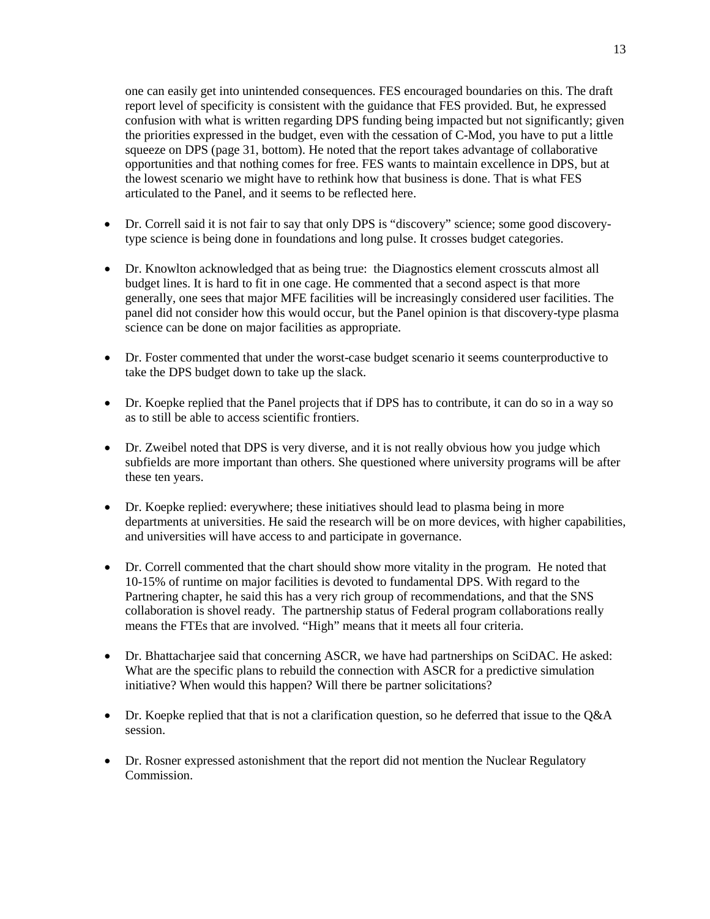one can easily get into unintended consequences. FES encouraged boundaries on this. The draft report level of specificity is consistent with the guidance that FES provided. But, he expressed confusion with what is written regarding DPS funding being impacted but not significantly; given the priorities expressed in the budget, even with the cessation of C-Mod, you have to put a little squeeze on DPS (page 31, bottom). He noted that the report takes advantage of collaborative opportunities and that nothing comes for free. FES wants to maintain excellence in DPS, but at the lowest scenario we might have to rethink how that business is done. That is what FES articulated to the Panel, and it seems to be reflected here.

- Dr. Correll said it is not fair to say that only DPS is "discovery" science; some good discoverytype science is being done in foundations and long pulse. It crosses budget categories.
- Dr. Knowlton acknowledged that as being true: the Diagnostics element crosscuts almost all budget lines. It is hard to fit in one cage. He commented that a second aspect is that more generally, one sees that major MFE facilities will be increasingly considered user facilities. The panel did not consider how this would occur, but the Panel opinion is that discovery-type plasma science can be done on major facilities as appropriate.
- Dr. Foster commented that under the worst-case budget scenario it seems counterproductive to take the DPS budget down to take up the slack.
- Dr. Koepke replied that the Panel projects that if DPS has to contribute, it can do so in a way so as to still be able to access scientific frontiers.
- Dr. Zweibel noted that DPS is very diverse, and it is not really obvious how you judge which subfields are more important than others. She questioned where university programs will be after these ten years.
- Dr. Koepke replied: everywhere; these initiatives should lead to plasma being in more departments at universities. He said the research will be on more devices, with higher capabilities, and universities will have access to and participate in governance.
- Dr. Correll commented that the chart should show more vitality in the program. He noted that 10-15% of runtime on major facilities is devoted to fundamental DPS. With regard to the Partnering chapter, he said this has a very rich group of recommendations, and that the SNS collaboration is shovel ready. The partnership status of Federal program collaborations really means the FTEs that are involved. "High" means that it meets all four criteria.
- Dr. Bhattacharjee said that concerning ASCR, we have had partnerships on SciDAC. He asked: What are the specific plans to rebuild the connection with ASCR for a predictive simulation initiative? When would this happen? Will there be partner solicitations?
- Dr. Koepke replied that that is not a clarification question, so he deferred that issue to the Q&A session.
- Dr. Rosner expressed astonishment that the report did not mention the Nuclear Regulatory Commission.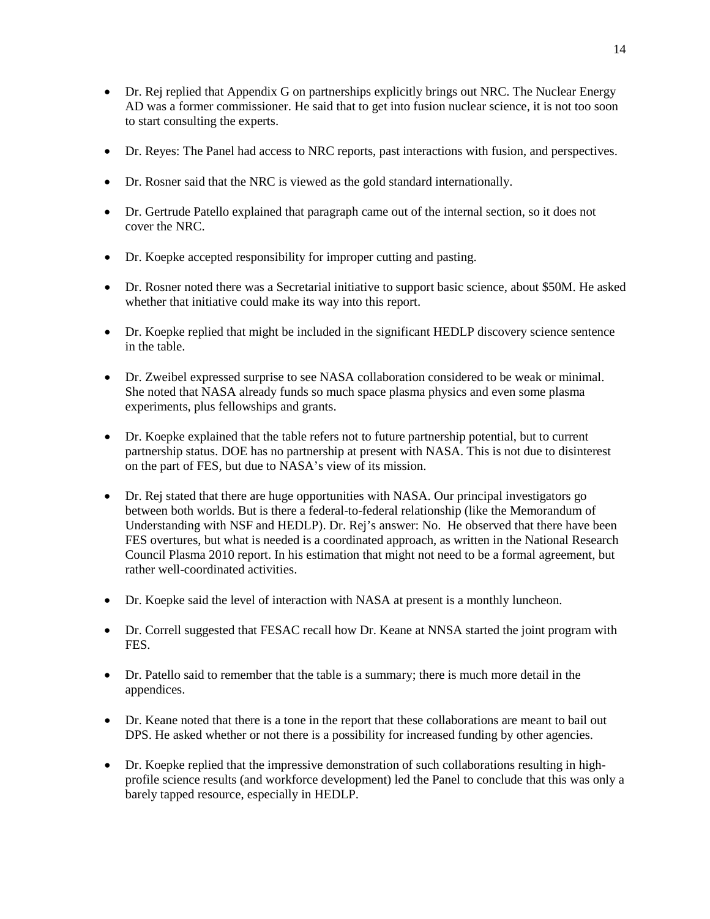- Dr. Rej replied that Appendix G on partnerships explicitly brings out NRC. The Nuclear Energy AD was a former commissioner. He said that to get into fusion nuclear science, it is not too soon to start consulting the experts.
- Dr. Reyes: The Panel had access to NRC reports, past interactions with fusion, and perspectives.
- Dr. Rosner said that the NRC is viewed as the gold standard internationally.
- Dr. Gertrude Patello explained that paragraph came out of the internal section, so it does not cover the NRC.
- Dr. Koepke accepted responsibility for improper cutting and pasting.
- Dr. Rosner noted there was a Secretarial initiative to support basic science, about \$50M. He asked whether that initiative could make its way into this report.
- Dr. Koepke replied that might be included in the significant HEDLP discovery science sentence in the table.
- Dr. Zweibel expressed surprise to see NASA collaboration considered to be weak or minimal. She noted that NASA already funds so much space plasma physics and even some plasma experiments, plus fellowships and grants.
- Dr. Koepke explained that the table refers not to future partnership potential, but to current partnership status. DOE has no partnership at present with NASA. This is not due to disinterest on the part of FES, but due to NASA's view of its mission.
- Dr. Rej stated that there are huge opportunities with NASA. Our principal investigators go between both worlds. But is there a federal-to-federal relationship (like the Memorandum of Understanding with NSF and HEDLP). Dr. Rej's answer: No. He observed that there have been FES overtures, but what is needed is a coordinated approach, as written in the National Research Council Plasma 2010 report. In his estimation that might not need to be a formal agreement, but rather well-coordinated activities.
- Dr. Koepke said the level of interaction with NASA at present is a monthly luncheon.
- Dr. Correll suggested that FESAC recall how Dr. Keane at NNSA started the joint program with FES.
- Dr. Patello said to remember that the table is a summary; there is much more detail in the appendices.
- Dr. Keane noted that there is a tone in the report that these collaborations are meant to bail out DPS. He asked whether or not there is a possibility for increased funding by other agencies.
- Dr. Koepke replied that the impressive demonstration of such collaborations resulting in highprofile science results (and workforce development) led the Panel to conclude that this was only a barely tapped resource, especially in HEDLP.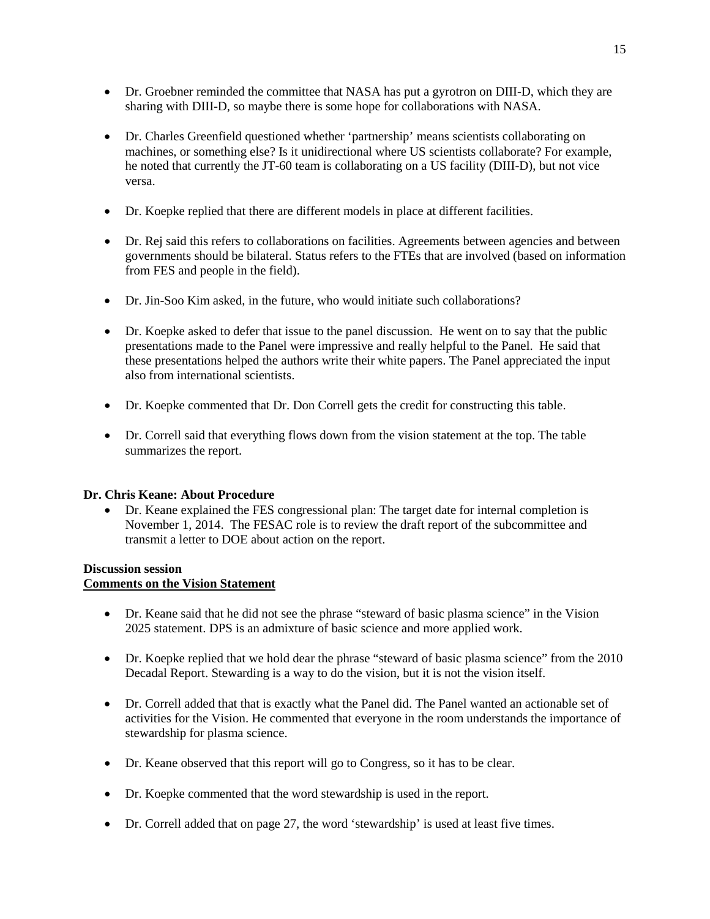- Dr. Groebner reminded the committee that NASA has put a gyrotron on DIII-D, which they are sharing with DIII-D, so maybe there is some hope for collaborations with NASA.
- Dr. Charles Greenfield questioned whether 'partnership' means scientists collaborating on machines, or something else? Is it unidirectional where US scientists collaborate? For example, he noted that currently the JT-60 team is collaborating on a US facility (DIII-D), but not vice versa.
- Dr. Koepke replied that there are different models in place at different facilities.
- Dr. Rej said this refers to collaborations on facilities. Agreements between agencies and between governments should be bilateral. Status refers to the FTEs that are involved (based on information from FES and people in the field).
- Dr. Jin-Soo Kim asked, in the future, who would initiate such collaborations?
- Dr. Koepke asked to defer that issue to the panel discussion. He went on to say that the public presentations made to the Panel were impressive and really helpful to the Panel. He said that these presentations helped the authors write their white papers. The Panel appreciated the input also from international scientists.
- Dr. Koepke commented that Dr. Don Correll gets the credit for constructing this table.
- Dr. Correll said that everything flows down from the vision statement at the top. The table summarizes the report.

## **Dr. Chris Keane: About Procedure**

• Dr. Keane explained the FES congressional plan: The target date for internal completion is November 1, 2014. The FESAC role is to review the draft report of the subcommittee and transmit a letter to DOE about action on the report.

## **Discussion session**

# **Comments on the Vision Statement**

- Dr. Keane said that he did not see the phrase "steward of basic plasma science" in the Vision 2025 statement. DPS is an admixture of basic science and more applied work.
- Dr. Koepke replied that we hold dear the phrase "steward of basic plasma science" from the 2010 Decadal Report. Stewarding is a way to do the vision, but it is not the vision itself.
- Dr. Correll added that that is exactly what the Panel did. The Panel wanted an actionable set of activities for the Vision. He commented that everyone in the room understands the importance of stewardship for plasma science.
- Dr. Keane observed that this report will go to Congress, so it has to be clear.
- Dr. Koepke commented that the word stewardship is used in the report.
- Dr. Correll added that on page 27, the word 'stewardship' is used at least five times.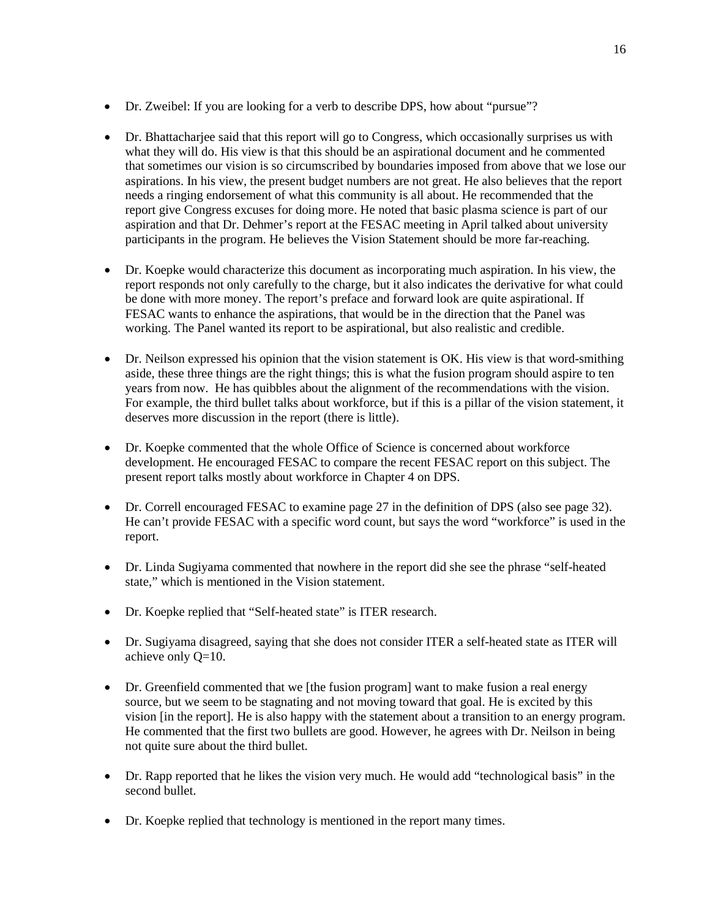- Dr. Zweibel: If you are looking for a verb to describe DPS, how about "pursue"?
- Dr. Bhattacharjee said that this report will go to Congress, which occasionally surprises us with what they will do. His view is that this should be an aspirational document and he commented that sometimes our vision is so circumscribed by boundaries imposed from above that we lose our aspirations. In his view, the present budget numbers are not great. He also believes that the report needs a ringing endorsement of what this community is all about. He recommended that the report give Congress excuses for doing more. He noted that basic plasma science is part of our aspiration and that Dr. Dehmer's report at the FESAC meeting in April talked about university participants in the program. He believes the Vision Statement should be more far-reaching.
- Dr. Koepke would characterize this document as incorporating much aspiration. In his view, the report responds not only carefully to the charge, but it also indicates the derivative for what could be done with more money. The report's preface and forward look are quite aspirational. If FESAC wants to enhance the aspirations, that would be in the direction that the Panel was working. The Panel wanted its report to be aspirational, but also realistic and credible.
- Dr. Neilson expressed his opinion that the vision statement is OK. His view is that word-smithing aside, these three things are the right things; this is what the fusion program should aspire to ten years from now. He has quibbles about the alignment of the recommendations with the vision. For example, the third bullet talks about workforce, but if this is a pillar of the vision statement, it deserves more discussion in the report (there is little).
- Dr. Koepke commented that the whole Office of Science is concerned about workforce development. He encouraged FESAC to compare the recent FESAC report on this subject. The present report talks mostly about workforce in Chapter 4 on DPS.
- Dr. Correll encouraged FESAC to examine page 27 in the definition of DPS (also see page 32). He can't provide FESAC with a specific word count, but says the word "workforce" is used in the report.
- Dr. Linda Sugiyama commented that nowhere in the report did she see the phrase "self-heated state," which is mentioned in the Vision statement.
- Dr. Koepke replied that "Self-heated state" is ITER research.
- Dr. Sugiyama disagreed, saying that she does not consider ITER a self-heated state as ITER will achieve only Q=10.
- Dr. Greenfield commented that we [the fusion program] want to make fusion a real energy source, but we seem to be stagnating and not moving toward that goal. He is excited by this vision [in the report]. He is also happy with the statement about a transition to an energy program. He commented that the first two bullets are good. However, he agrees with Dr. Neilson in being not quite sure about the third bullet.
- Dr. Rapp reported that he likes the vision very much. He would add "technological basis" in the second bullet.
- Dr. Koepke replied that technology is mentioned in the report many times.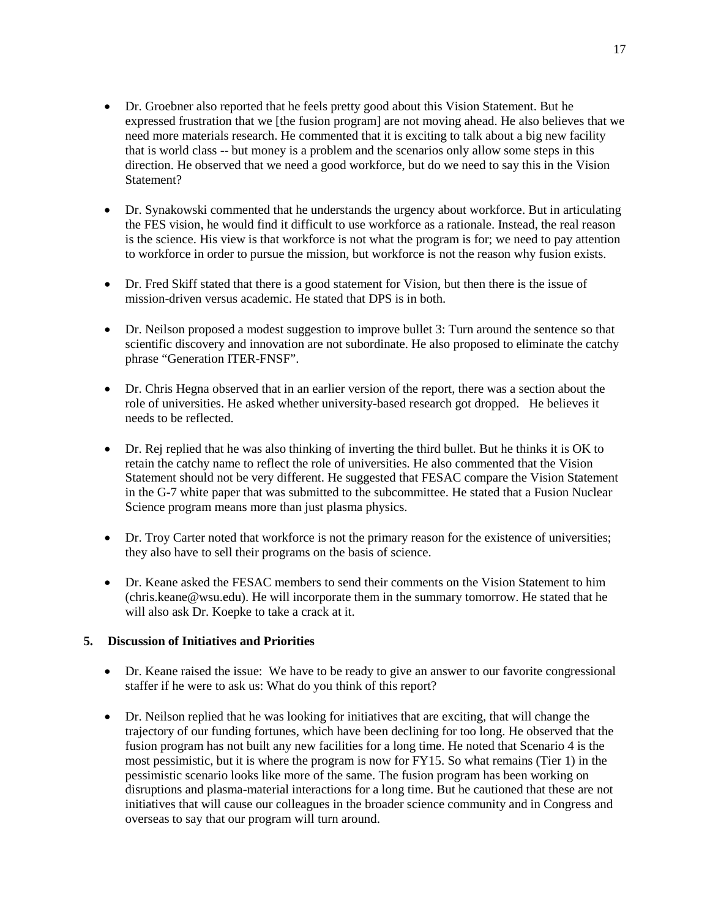- Dr. Groebner also reported that he feels pretty good about this Vision Statement. But he expressed frustration that we [the fusion program] are not moving ahead. He also believes that we need more materials research. He commented that it is exciting to talk about a big new facility that is world class -- but money is a problem and the scenarios only allow some steps in this direction. He observed that we need a good workforce, but do we need to say this in the Vision Statement?
- Dr. Synakowski commented that he understands the urgency about workforce. But in articulating the FES vision, he would find it difficult to use workforce as a rationale. Instead, the real reason is the science. His view is that workforce is not what the program is for; we need to pay attention to workforce in order to pursue the mission, but workforce is not the reason why fusion exists.
- Dr. Fred Skiff stated that there is a good statement for Vision, but then there is the issue of mission-driven versus academic. He stated that DPS is in both.
- Dr. Neilson proposed a modest suggestion to improve bullet 3: Turn around the sentence so that scientific discovery and innovation are not subordinate. He also proposed to eliminate the catchy phrase "Generation ITER-FNSF".
- Dr. Chris Hegna observed that in an earlier version of the report, there was a section about the role of universities. He asked whether university-based research got dropped. He believes it needs to be reflected.
- Dr. Rej replied that he was also thinking of inverting the third bullet. But he thinks it is OK to retain the catchy name to reflect the role of universities. He also commented that the Vision Statement should not be very different. He suggested that FESAC compare the Vision Statement in the G-7 white paper that was submitted to the subcommittee. He stated that a Fusion Nuclear Science program means more than just plasma physics.
- Dr. Troy Carter noted that workforce is not the primary reason for the existence of universities; they also have to sell their programs on the basis of science.
- Dr. Keane asked the FESAC members to send their comments on the Vision Statement to him (chris.keane@wsu.edu). He will incorporate them in the summary tomorrow. He stated that he will also ask Dr. Koepke to take a crack at it.

# **5. Discussion of Initiatives and Priorities**

- Dr. Keane raised the issue: We have to be ready to give an answer to our favorite congressional staffer if he were to ask us: What do you think of this report?
- Dr. Neilson replied that he was looking for initiatives that are exciting, that will change the trajectory of our funding fortunes, which have been declining for too long. He observed that the fusion program has not built any new facilities for a long time. He noted that Scenario 4 is the most pessimistic, but it is where the program is now for FY15. So what remains (Tier 1) in the pessimistic scenario looks like more of the same. The fusion program has been working on disruptions and plasma-material interactions for a long time. But he cautioned that these are not initiatives that will cause our colleagues in the broader science community and in Congress and overseas to say that our program will turn around.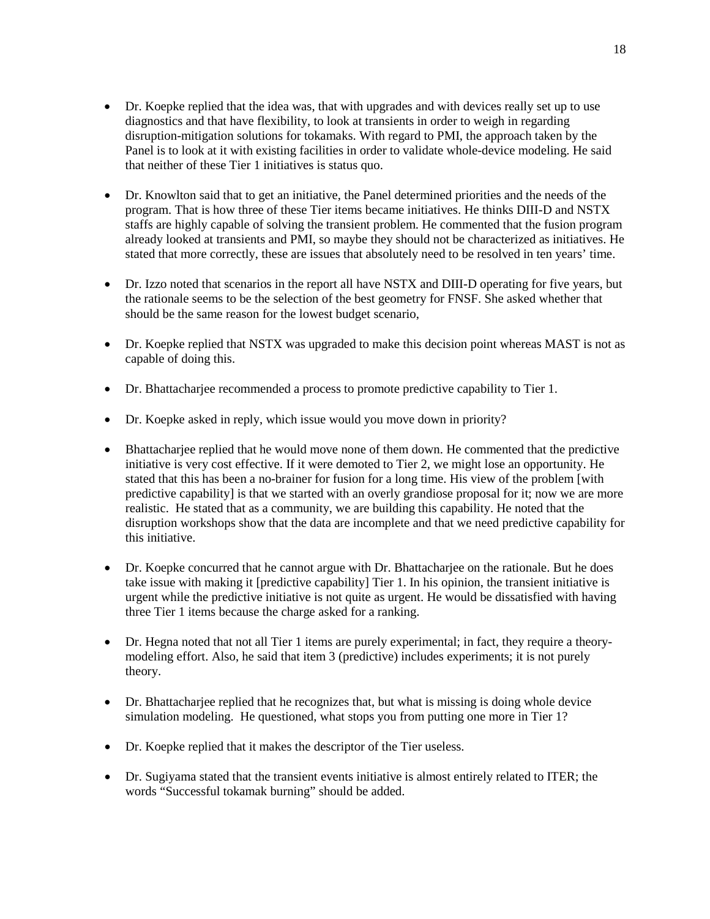- Dr. Koepke replied that the idea was, that with upgrades and with devices really set up to use diagnostics and that have flexibility, to look at transients in order to weigh in regarding disruption-mitigation solutions for tokamaks. With regard to PMI, the approach taken by the Panel is to look at it with existing facilities in order to validate whole-device modeling. He said that neither of these Tier 1 initiatives is status quo.
- Dr. Knowlton said that to get an initiative, the Panel determined priorities and the needs of the program. That is how three of these Tier items became initiatives. He thinks DIII-D and NSTX staffs are highly capable of solving the transient problem. He commented that the fusion program already looked at transients and PMI, so maybe they should not be characterized as initiatives. He stated that more correctly, these are issues that absolutely need to be resolved in ten years' time.
- Dr. Izzo noted that scenarios in the report all have NSTX and DIII-D operating for five years, but the rationale seems to be the selection of the best geometry for FNSF. She asked whether that should be the same reason for the lowest budget scenario,
- Dr. Koepke replied that NSTX was upgraded to make this decision point whereas MAST is not as capable of doing this.
- Dr. Bhattacharjee recommended a process to promote predictive capability to Tier 1.
- Dr. Koepke asked in reply, which issue would you move down in priority?
- Bhattachariee replied that he would move none of them down. He commented that the predictive initiative is very cost effective. If it were demoted to Tier 2, we might lose an opportunity. He stated that this has been a no-brainer for fusion for a long time. His view of the problem [with predictive capability] is that we started with an overly grandiose proposal for it; now we are more realistic. He stated that as a community, we are building this capability. He noted that the disruption workshops show that the data are incomplete and that we need predictive capability for this initiative.
- Dr. Koepke concurred that he cannot argue with Dr. Bhattacharjee on the rationale. But he does take issue with making it [predictive capability] Tier 1. In his opinion, the transient initiative is urgent while the predictive initiative is not quite as urgent. He would be dissatisfied with having three Tier 1 items because the charge asked for a ranking.
- Dr. Hegna noted that not all Tier 1 items are purely experimental; in fact, they require a theorymodeling effort. Also, he said that item 3 (predictive) includes experiments; it is not purely theory.
- Dr. Bhattacharjee replied that he recognizes that, but what is missing is doing whole device simulation modeling. He questioned, what stops you from putting one more in Tier 1?
- Dr. Koepke replied that it makes the descriptor of the Tier useless.
- Dr. Sugiyama stated that the transient events initiative is almost entirely related to ITER; the words "Successful tokamak burning" should be added.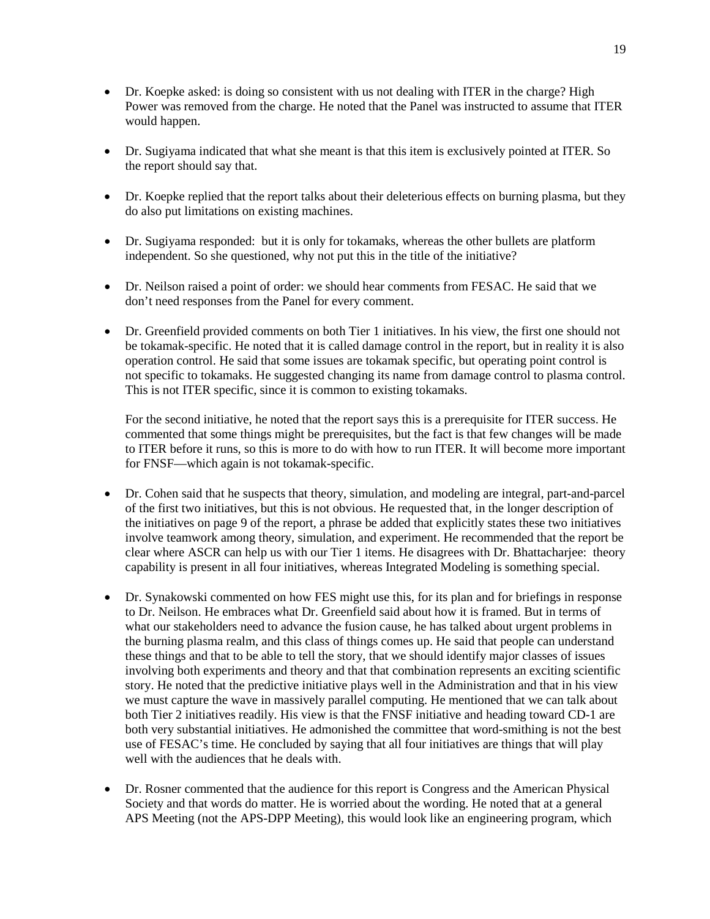- Dr. Koepke asked: is doing so consistent with us not dealing with ITER in the charge? High Power was removed from the charge. He noted that the Panel was instructed to assume that ITER would happen.
- Dr. Sugiyama indicated that what she meant is that this item is exclusively pointed at ITER. So the report should say that.
- Dr. Koepke replied that the report talks about their deleterious effects on burning plasma, but they do also put limitations on existing machines.
- Dr. Sugiyama responded: but it is only for tokamaks, whereas the other bullets are platform independent. So she questioned, why not put this in the title of the initiative?
- Dr. Neilson raised a point of order: we should hear comments from FESAC. He said that we don't need responses from the Panel for every comment.
- Dr. Greenfield provided comments on both Tier 1 initiatives. In his view, the first one should not be tokamak-specific. He noted that it is called damage control in the report, but in reality it is also operation control. He said that some issues are tokamak specific, but operating point control is not specific to tokamaks. He suggested changing its name from damage control to plasma control. This is not ITER specific, since it is common to existing tokamaks.

For the second initiative, he noted that the report says this is a prerequisite for ITER success. He commented that some things might be prerequisites, but the fact is that few changes will be made to ITER before it runs, so this is more to do with how to run ITER. It will become more important for FNSF—which again is not tokamak-specific.

- Dr. Cohen said that he suspects that theory, simulation, and modeling are integral, part-and-parcel of the first two initiatives, but this is not obvious. He requested that, in the longer description of the initiatives on page 9 of the report, a phrase be added that explicitly states these two initiatives involve teamwork among theory, simulation, and experiment. He recommended that the report be clear where ASCR can help us with our Tier 1 items. He disagrees with Dr. Bhattacharjee: theory capability is present in all four initiatives, whereas Integrated Modeling is something special.
- Dr. Synakowski commented on how FES might use this, for its plan and for briefings in response to Dr. Neilson. He embraces what Dr. Greenfield said about how it is framed. But in terms of what our stakeholders need to advance the fusion cause, he has talked about urgent problems in the burning plasma realm, and this class of things comes up. He said that people can understand these things and that to be able to tell the story, that we should identify major classes of issues involving both experiments and theory and that that combination represents an exciting scientific story. He noted that the predictive initiative plays well in the Administration and that in his view we must capture the wave in massively parallel computing. He mentioned that we can talk about both Tier 2 initiatives readily. His view is that the FNSF initiative and heading toward CD-1 are both very substantial initiatives. He admonished the committee that word-smithing is not the best use of FESAC's time. He concluded by saying that all four initiatives are things that will play well with the audiences that he deals with.
- Dr. Rosner commented that the audience for this report is Congress and the American Physical Society and that words do matter. He is worried about the wording. He noted that at a general APS Meeting (not the APS-DPP Meeting), this would look like an engineering program, which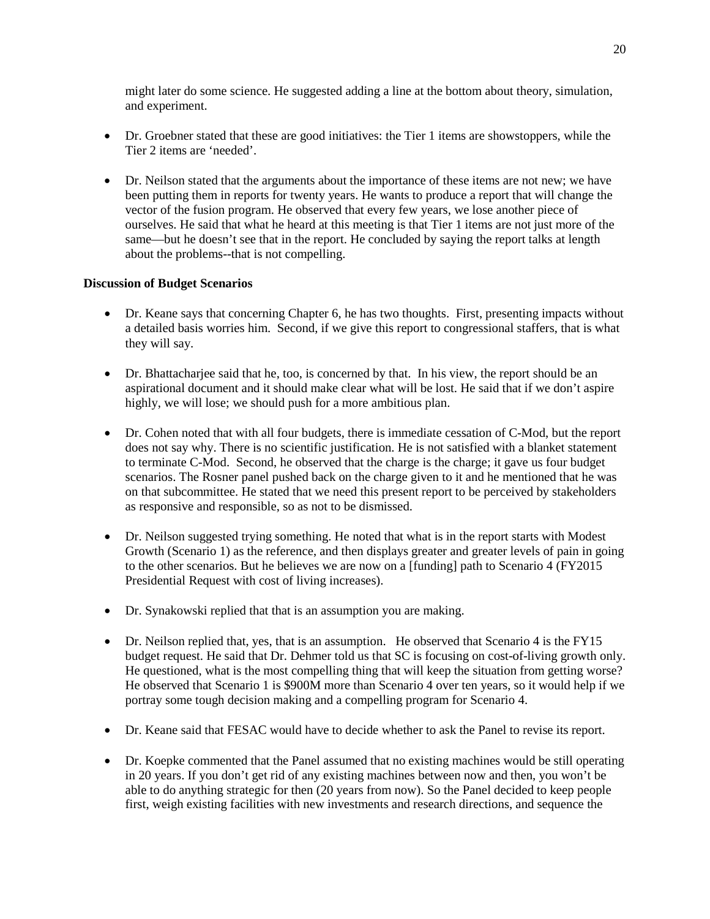might later do some science. He suggested adding a line at the bottom about theory, simulation, and experiment.

- Dr. Groebner stated that these are good initiatives: the Tier 1 items are showstoppers, while the Tier 2 items are 'needed'.
- Dr. Neilson stated that the arguments about the importance of these items are not new; we have been putting them in reports for twenty years. He wants to produce a report that will change the vector of the fusion program. He observed that every few years, we lose another piece of ourselves. He said that what he heard at this meeting is that Tier 1 items are not just more of the same—but he doesn't see that in the report. He concluded by saying the report talks at length about the problems--that is not compelling.

# **Discussion of Budget Scenarios**

- Dr. Keane says that concerning Chapter 6, he has two thoughts. First, presenting impacts without a detailed basis worries him. Second, if we give this report to congressional staffers, that is what they will say.
- Dr. Bhattacharjee said that he, too, is concerned by that. In his view, the report should be an aspirational document and it should make clear what will be lost. He said that if we don't aspire highly, we will lose; we should push for a more ambitious plan.
- Dr. Cohen noted that with all four budgets, there is immediate cessation of C-Mod, but the report does not say why. There is no scientific justification. He is not satisfied with a blanket statement to terminate C-Mod. Second, he observed that the charge is the charge; it gave us four budget scenarios. The Rosner panel pushed back on the charge given to it and he mentioned that he was on that subcommittee. He stated that we need this present report to be perceived by stakeholders as responsive and responsible, so as not to be dismissed.
- Dr. Neilson suggested trying something. He noted that what is in the report starts with Modest Growth (Scenario 1) as the reference, and then displays greater and greater levels of pain in going to the other scenarios. But he believes we are now on a [funding] path to Scenario 4 (FY2015 Presidential Request with cost of living increases).
- Dr. Synakowski replied that that is an assumption you are making.
- Dr. Neilson replied that, yes, that is an assumption. He observed that Scenario 4 is the FY15 budget request. He said that Dr. Dehmer told us that SC is focusing on cost-of-living growth only. He questioned, what is the most compelling thing that will keep the situation from getting worse? He observed that Scenario 1 is \$900M more than Scenario 4 over ten years, so it would help if we portray some tough decision making and a compelling program for Scenario 4.
- Dr. Keane said that FESAC would have to decide whether to ask the Panel to revise its report.
- Dr. Koepke commented that the Panel assumed that no existing machines would be still operating in 20 years. If you don't get rid of any existing machines between now and then, you won't be able to do anything strategic for then (20 years from now). So the Panel decided to keep people first, weigh existing facilities with new investments and research directions, and sequence the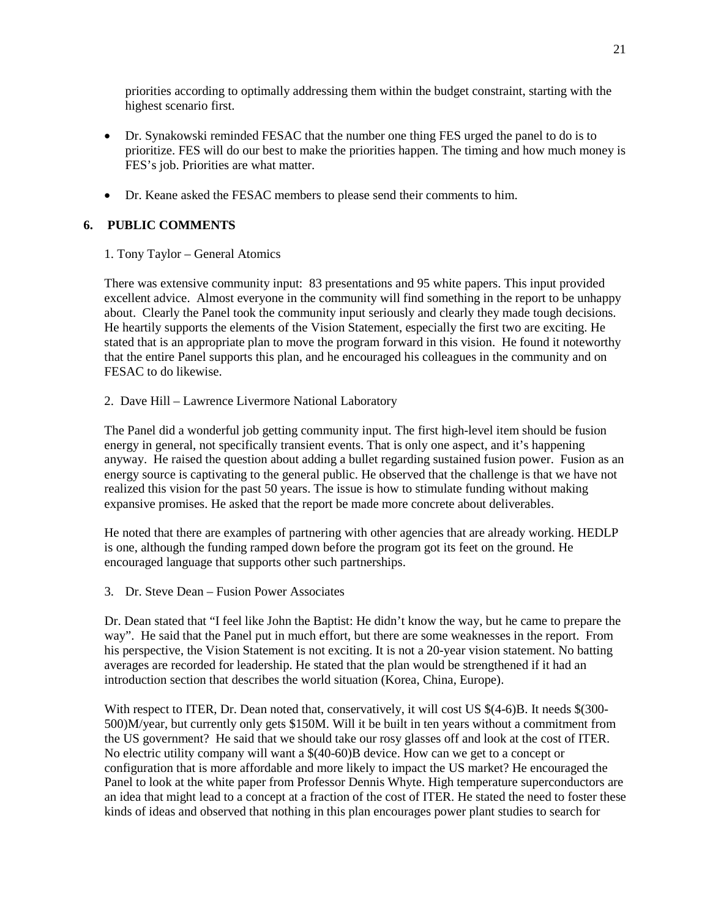priorities according to optimally addressing them within the budget constraint, starting with the highest scenario first.

- Dr. Synakowski reminded FESAC that the number one thing FES urged the panel to do is to prioritize. FES will do our best to make the priorities happen. The timing and how much money is FES's job. Priorities are what matter.
- Dr. Keane asked the FESAC members to please send their comments to him.

# **6. PUBLIC COMMENTS**

# 1. Tony Taylor – General Atomics

There was extensive community input: 83 presentations and 95 white papers. This input provided excellent advice. Almost everyone in the community will find something in the report to be unhappy about. Clearly the Panel took the community input seriously and clearly they made tough decisions. He heartily supports the elements of the Vision Statement, especially the first two are exciting. He stated that is an appropriate plan to move the program forward in this vision. He found it noteworthy that the entire Panel supports this plan, and he encouraged his colleagues in the community and on FESAC to do likewise.

2. Dave Hill – Lawrence Livermore National Laboratory

The Panel did a wonderful job getting community input. The first high-level item should be fusion energy in general, not specifically transient events. That is only one aspect, and it's happening anyway. He raised the question about adding a bullet regarding sustained fusion power. Fusion as an energy source is captivating to the general public. He observed that the challenge is that we have not realized this vision for the past 50 years. The issue is how to stimulate funding without making expansive promises. He asked that the report be made more concrete about deliverables.

He noted that there are examples of partnering with other agencies that are already working. HEDLP is one, although the funding ramped down before the program got its feet on the ground. He encouraged language that supports other such partnerships.

3. Dr. Steve Dean – Fusion Power Associates

Dr. Dean stated that "I feel like John the Baptist: He didn't know the way, but he came to prepare the way". He said that the Panel put in much effort, but there are some weaknesses in the report. From his perspective, the Vision Statement is not exciting. It is not a 20-year vision statement. No batting averages are recorded for leadership. He stated that the plan would be strengthened if it had an introduction section that describes the world situation (Korea, China, Europe).

With respect to ITER, Dr. Dean noted that, conservatively, it will cost US  $$(4-6)B]$ . It needs  $$(300-$ 500)M/year, but currently only gets \$150M. Will it be built in ten years without a commitment from the US government? He said that we should take our rosy glasses off and look at the cost of ITER. No electric utility company will want a \$(40-60)B device. How can we get to a concept or configuration that is more affordable and more likely to impact the US market? He encouraged the Panel to look at the white paper from Professor Dennis Whyte. High temperature superconductors are an idea that might lead to a concept at a fraction of the cost of ITER. He stated the need to foster these kinds of ideas and observed that nothing in this plan encourages power plant studies to search for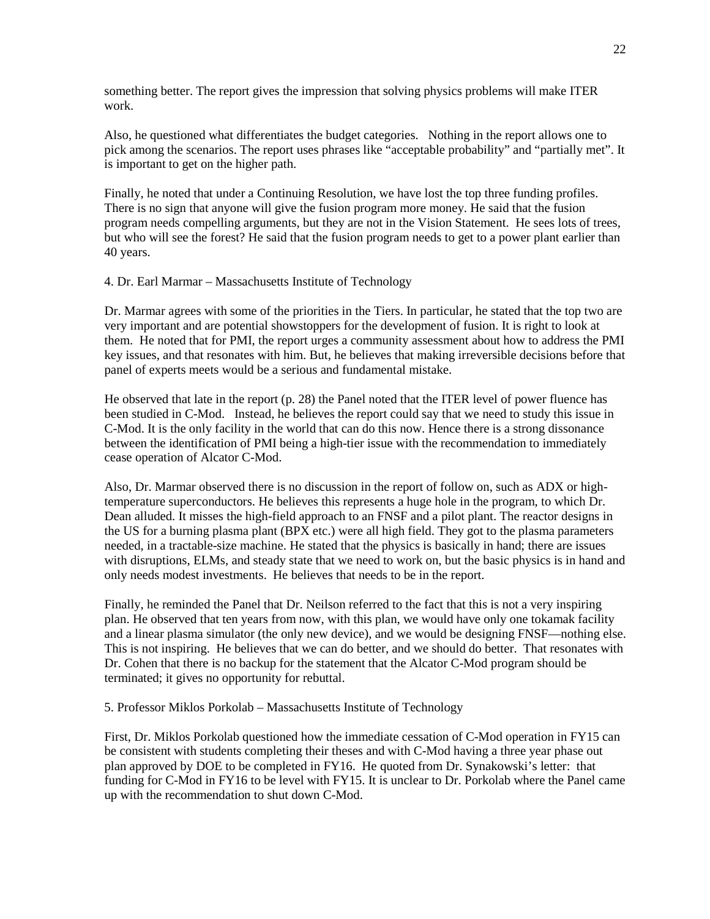something better. The report gives the impression that solving physics problems will make ITER work.

Also, he questioned what differentiates the budget categories. Nothing in the report allows one to pick among the scenarios. The report uses phrases like "acceptable probability" and "partially met". It is important to get on the higher path.

Finally, he noted that under a Continuing Resolution, we have lost the top three funding profiles. There is no sign that anyone will give the fusion program more money. He said that the fusion program needs compelling arguments, but they are not in the Vision Statement. He sees lots of trees, but who will see the forest? He said that the fusion program needs to get to a power plant earlier than 40 years.

4. Dr. Earl Marmar – Massachusetts Institute of Technology

Dr. Marmar agrees with some of the priorities in the Tiers. In particular, he stated that the top two are very important and are potential showstoppers for the development of fusion. It is right to look at them. He noted that for PMI, the report urges a community assessment about how to address the PMI key issues, and that resonates with him. But, he believes that making irreversible decisions before that panel of experts meets would be a serious and fundamental mistake.

He observed that late in the report (p. 28) the Panel noted that the ITER level of power fluence has been studied in C-Mod. Instead, he believes the report could say that we need to study this issue in C-Mod. It is the only facility in the world that can do this now. Hence there is a strong dissonance between the identification of PMI being a high-tier issue with the recommendation to immediately cease operation of Alcator C-Mod.

Also, Dr. Marmar observed there is no discussion in the report of follow on, such as ADX or hightemperature superconductors. He believes this represents a huge hole in the program, to which Dr. Dean alluded. It misses the high-field approach to an FNSF and a pilot plant. The reactor designs in the US for a burning plasma plant (BPX etc.) were all high field. They got to the plasma parameters needed, in a tractable-size machine. He stated that the physics is basically in hand; there are issues with disruptions, ELMs, and steady state that we need to work on, but the basic physics is in hand and only needs modest investments. He believes that needs to be in the report.

Finally, he reminded the Panel that Dr. Neilson referred to the fact that this is not a very inspiring plan. He observed that ten years from now, with this plan, we would have only one tokamak facility and a linear plasma simulator (the only new device), and we would be designing FNSF—nothing else. This is not inspiring. He believes that we can do better, and we should do better. That resonates with Dr. Cohen that there is no backup for the statement that the Alcator C-Mod program should be terminated; it gives no opportunity for rebuttal.

5. Professor Miklos Porkolab – Massachusetts Institute of Technology

First, Dr. Miklos Porkolab questioned how the immediate cessation of C-Mod operation in FY15 can be consistent with students completing their theses and with C-Mod having a three year phase out plan approved by DOE to be completed in FY16. He quoted from Dr. Synakowski's letter: that funding for C-Mod in FY16 to be level with FY15. It is unclear to Dr. Porkolab where the Panel came up with the recommendation to shut down C-Mod.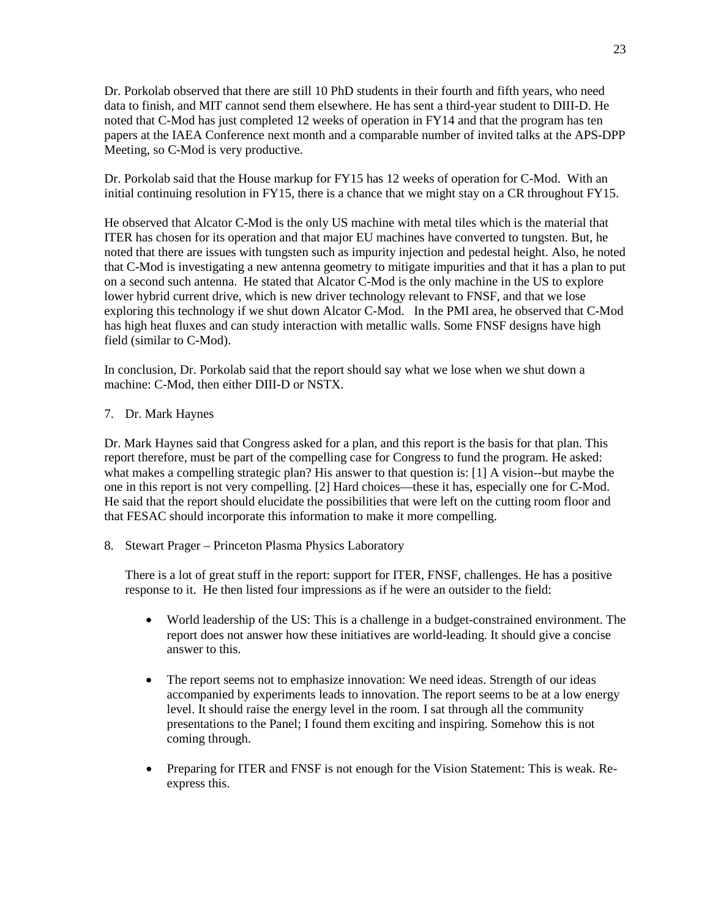Dr. Porkolab observed that there are still 10 PhD students in their fourth and fifth years, who need data to finish, and MIT cannot send them elsewhere. He has sent a third-year student to DIII-D. He noted that C-Mod has just completed 12 weeks of operation in FY14 and that the program has ten papers at the IAEA Conference next month and a comparable number of invited talks at the APS-DPP Meeting, so C-Mod is very productive.

Dr. Porkolab said that the House markup for FY15 has 12 weeks of operation for C-Mod. With an initial continuing resolution in FY15, there is a chance that we might stay on a CR throughout FY15.

He observed that Alcator C-Mod is the only US machine with metal tiles which is the material that ITER has chosen for its operation and that major EU machines have converted to tungsten. But, he noted that there are issues with tungsten such as impurity injection and pedestal height. Also, he noted that C-Mod is investigating a new antenna geometry to mitigate impurities and that it has a plan to put on a second such antenna. He stated that Alcator C-Mod is the only machine in the US to explore lower hybrid current drive, which is new driver technology relevant to FNSF, and that we lose exploring this technology if we shut down Alcator C-Mod. In the PMI area, he observed that C-Mod has high heat fluxes and can study interaction with metallic walls. Some FNSF designs have high field (similar to C-Mod).

In conclusion, Dr. Porkolab said that the report should say what we lose when we shut down a machine: C-Mod, then either DIII-D or NSTX.

7. Dr. Mark Haynes

Dr. Mark Haynes said that Congress asked for a plan, and this report is the basis for that plan. This report therefore, must be part of the compelling case for Congress to fund the program. He asked: what makes a compelling strategic plan? His answer to that question is: [1] A vision--but maybe the one in this report is not very compelling. [2] Hard choices—these it has, especially one for C-Mod. He said that the report should elucidate the possibilities that were left on the cutting room floor and that FESAC should incorporate this information to make it more compelling.

8. Stewart Prager – Princeton Plasma Physics Laboratory

There is a lot of great stuff in the report: support for ITER, FNSF, challenges. He has a positive response to it. He then listed four impressions as if he were an outsider to the field:

- World leadership of the US: This is a challenge in a budget-constrained environment. The report does not answer how these initiatives are world-leading. It should give a concise answer to this.
- The report seems not to emphasize innovation: We need ideas. Strength of our ideas accompanied by experiments leads to innovation. The report seems to be at a low energy level. It should raise the energy level in the room. I sat through all the community presentations to the Panel; I found them exciting and inspiring. Somehow this is not coming through.
- Preparing for ITER and FNSF is not enough for the Vision Statement: This is weak. Reexpress this.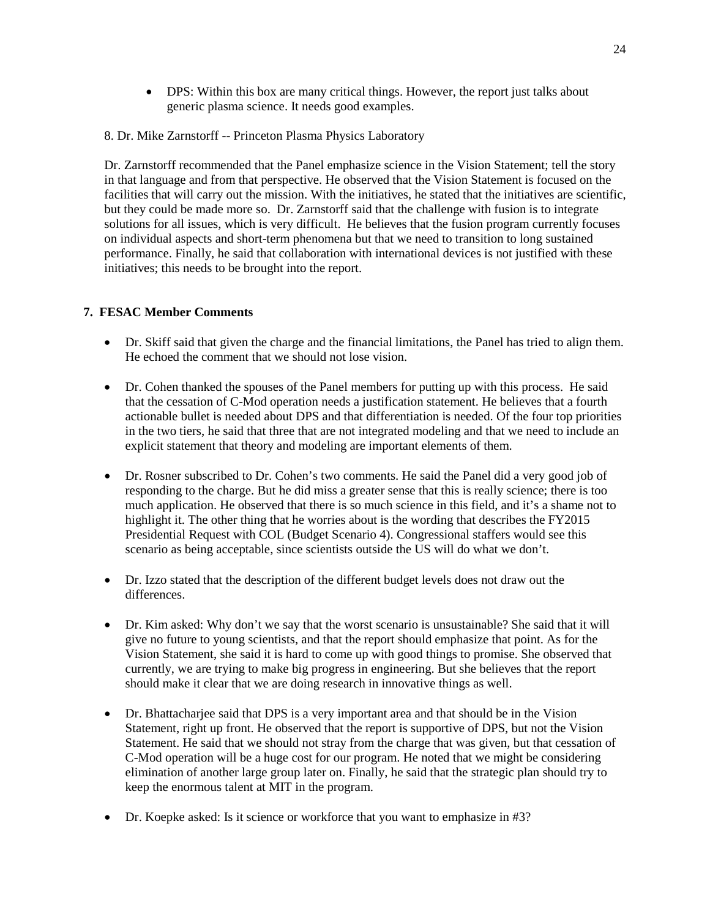- DPS: Within this box are many critical things. However, the report just talks about generic plasma science. It needs good examples.
- 8. Dr. Mike Zarnstorff -- Princeton Plasma Physics Laboratory

Dr. Zarnstorff recommended that the Panel emphasize science in the Vision Statement; tell the story in that language and from that perspective. He observed that the Vision Statement is focused on the facilities that will carry out the mission. With the initiatives, he stated that the initiatives are scientific, but they could be made more so. Dr. Zarnstorff said that the challenge with fusion is to integrate solutions for all issues, which is very difficult. He believes that the fusion program currently focuses on individual aspects and short-term phenomena but that we need to transition to long sustained performance. Finally, he said that collaboration with international devices is not justified with these initiatives; this needs to be brought into the report.

# **7. FESAC Member Comments**

- Dr. Skiff said that given the charge and the financial limitations, the Panel has tried to align them. He echoed the comment that we should not lose vision.
- Dr. Cohen thanked the spouses of the Panel members for putting up with this process. He said that the cessation of C-Mod operation needs a justification statement. He believes that a fourth actionable bullet is needed about DPS and that differentiation is needed. Of the four top priorities in the two tiers, he said that three that are not integrated modeling and that we need to include an explicit statement that theory and modeling are important elements of them.
- Dr. Rosner subscribed to Dr. Cohen's two comments. He said the Panel did a very good job of responding to the charge. But he did miss a greater sense that this is really science; there is too much application. He observed that there is so much science in this field, and it's a shame not to highlight it. The other thing that he worries about is the wording that describes the FY2015 Presidential Request with COL (Budget Scenario 4). Congressional staffers would see this scenario as being acceptable, since scientists outside the US will do what we don't.
- Dr. Izzo stated that the description of the different budget levels does not draw out the differences.
- Dr. Kim asked: Why don't we say that the worst scenario is unsustainable? She said that it will give no future to young scientists, and that the report should emphasize that point. As for the Vision Statement, she said it is hard to come up with good things to promise. She observed that currently, we are trying to make big progress in engineering. But she believes that the report should make it clear that we are doing research in innovative things as well.
- Dr. Bhattacharjee said that DPS is a very important area and that should be in the Vision Statement, right up front. He observed that the report is supportive of DPS, but not the Vision Statement. He said that we should not stray from the charge that was given, but that cessation of C-Mod operation will be a huge cost for our program. He noted that we might be considering elimination of another large group later on. Finally, he said that the strategic plan should try to keep the enormous talent at MIT in the program.
- Dr. Koepke asked: Is it science or workforce that you want to emphasize in #3?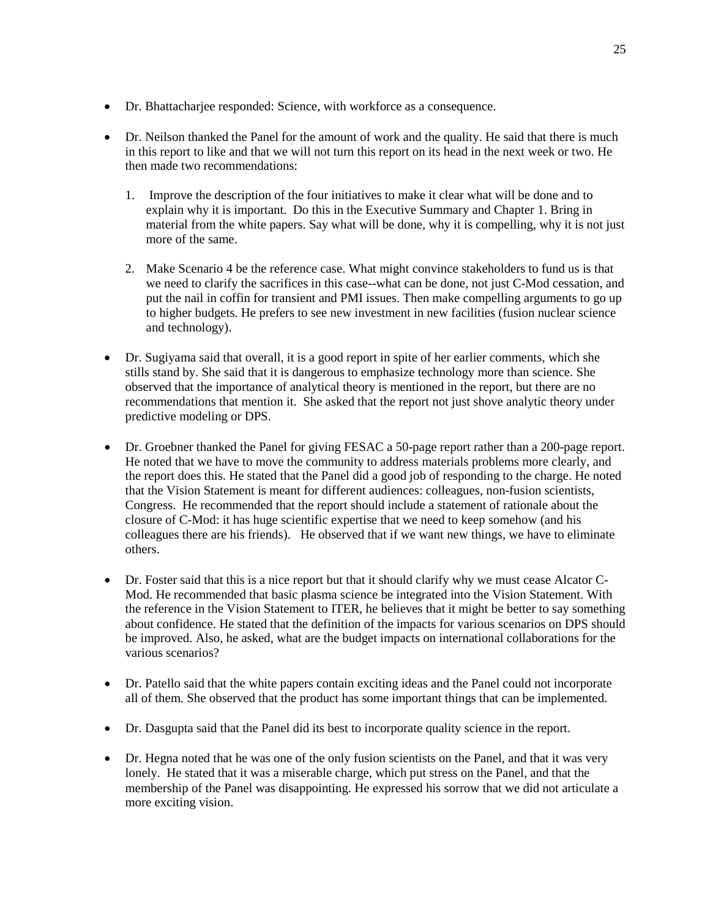- Dr. Bhattacharjee responded: Science, with workforce as a consequence.
- Dr. Neilson thanked the Panel for the amount of work and the quality. He said that there is much in this report to like and that we will not turn this report on its head in the next week or two. He then made two recommendations:
	- 1. Improve the description of the four initiatives to make it clear what will be done and to explain why it is important. Do this in the Executive Summary and Chapter 1. Bring in material from the white papers. Say what will be done, why it is compelling, why it is not just more of the same.
	- 2. Make Scenario 4 be the reference case. What might convince stakeholders to fund us is that we need to clarify the sacrifices in this case--what can be done, not just C-Mod cessation, and put the nail in coffin for transient and PMI issues. Then make compelling arguments to go up to higher budgets. He prefers to see new investment in new facilities (fusion nuclear science and technology).
- Dr. Sugiyama said that overall, it is a good report in spite of her earlier comments, which she stills stand by. She said that it is dangerous to emphasize technology more than science. She observed that the importance of analytical theory is mentioned in the report, but there are no recommendations that mention it. She asked that the report not just shove analytic theory under predictive modeling or DPS.
- Dr. Groebner thanked the Panel for giving FESAC a 50-page report rather than a 200-page report. He noted that we have to move the community to address materials problems more clearly, and the report does this. He stated that the Panel did a good job of responding to the charge. He noted that the Vision Statement is meant for different audiences: colleagues, non-fusion scientists, Congress. He recommended that the report should include a statement of rationale about the closure of C-Mod: it has huge scientific expertise that we need to keep somehow (and his colleagues there are his friends). He observed that if we want new things, we have to eliminate others.
- Dr. Foster said that this is a nice report but that it should clarify why we must cease Alcator C-Mod. He recommended that basic plasma science be integrated into the Vision Statement. With the reference in the Vision Statement to ITER, he believes that it might be better to say something about confidence. He stated that the definition of the impacts for various scenarios on DPS should be improved. Also, he asked, what are the budget impacts on international collaborations for the various scenarios?
- Dr. Patello said that the white papers contain exciting ideas and the Panel could not incorporate all of them. She observed that the product has some important things that can be implemented.
- Dr. Dasgupta said that the Panel did its best to incorporate quality science in the report.
- Dr. Hegna noted that he was one of the only fusion scientists on the Panel, and that it was very lonely. He stated that it was a miserable charge, which put stress on the Panel, and that the membership of the Panel was disappointing. He expressed his sorrow that we did not articulate a more exciting vision.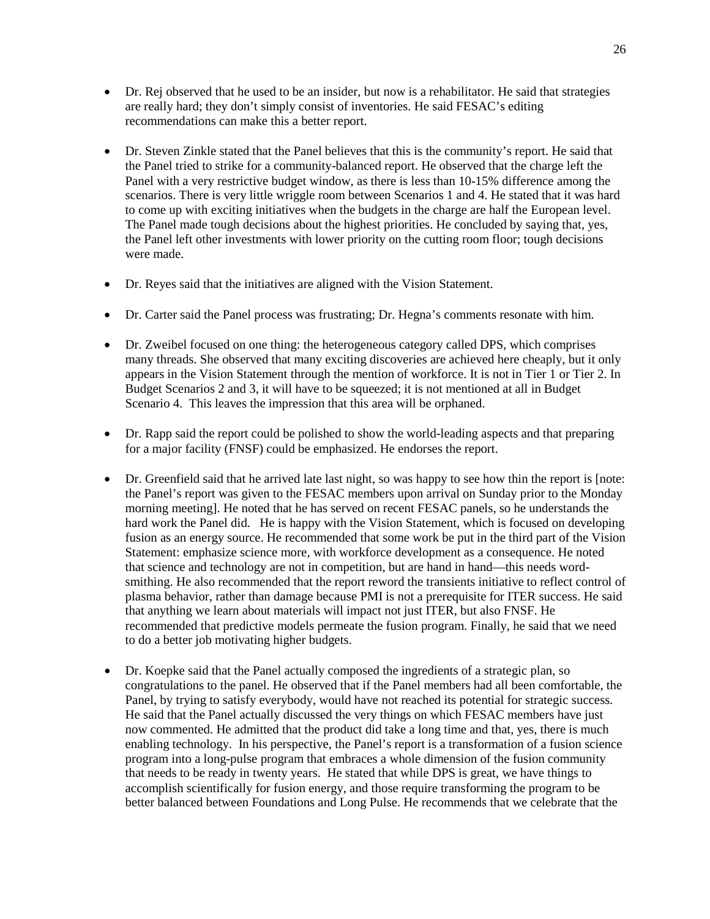- Dr. Rej observed that he used to be an insider, but now is a rehabilitator. He said that strategies are really hard; they don't simply consist of inventories. He said FESAC's editing recommendations can make this a better report.
- Dr. Steven Zinkle stated that the Panel believes that this is the community's report. He said that the Panel tried to strike for a community-balanced report. He observed that the charge left the Panel with a very restrictive budget window, as there is less than 10-15% difference among the scenarios. There is very little wriggle room between Scenarios 1 and 4. He stated that it was hard to come up with exciting initiatives when the budgets in the charge are half the European level. The Panel made tough decisions about the highest priorities. He concluded by saying that, yes, the Panel left other investments with lower priority on the cutting room floor; tough decisions were made.
- Dr. Reyes said that the initiatives are aligned with the Vision Statement.
- Dr. Carter said the Panel process was frustrating; Dr. Hegna's comments resonate with him.
- Dr. Zweibel focused on one thing: the heterogeneous category called DPS, which comprises many threads. She observed that many exciting discoveries are achieved here cheaply, but it only appears in the Vision Statement through the mention of workforce. It is not in Tier 1 or Tier 2. In Budget Scenarios 2 and 3, it will have to be squeezed; it is not mentioned at all in Budget Scenario 4. This leaves the impression that this area will be orphaned.
- Dr. Rapp said the report could be polished to show the world-leading aspects and that preparing for a major facility (FNSF) could be emphasized. He endorses the report.
- Dr. Greenfield said that he arrived late last night, so was happy to see how thin the report is [note: the Panel's report was given to the FESAC members upon arrival on Sunday prior to the Monday morning meeting]. He noted that he has served on recent FESAC panels, so he understands the hard work the Panel did. He is happy with the Vision Statement, which is focused on developing fusion as an energy source. He recommended that some work be put in the third part of the Vision Statement: emphasize science more, with workforce development as a consequence. He noted that science and technology are not in competition, but are hand in hand—this needs wordsmithing. He also recommended that the report reword the transients initiative to reflect control of plasma behavior, rather than damage because PMI is not a prerequisite for ITER success. He said that anything we learn about materials will impact not just ITER, but also FNSF. He recommended that predictive models permeate the fusion program. Finally, he said that we need to do a better job motivating higher budgets.
- Dr. Koepke said that the Panel actually composed the ingredients of a strategic plan, so congratulations to the panel. He observed that if the Panel members had all been comfortable, the Panel, by trying to satisfy everybody, would have not reached its potential for strategic success. He said that the Panel actually discussed the very things on which FESAC members have just now commented. He admitted that the product did take a long time and that, yes, there is much enabling technology. In his perspective, the Panel's report is a transformation of a fusion science program into a long-pulse program that embraces a whole dimension of the fusion community that needs to be ready in twenty years. He stated that while DPS is great, we have things to accomplish scientifically for fusion energy, and those require transforming the program to be better balanced between Foundations and Long Pulse. He recommends that we celebrate that the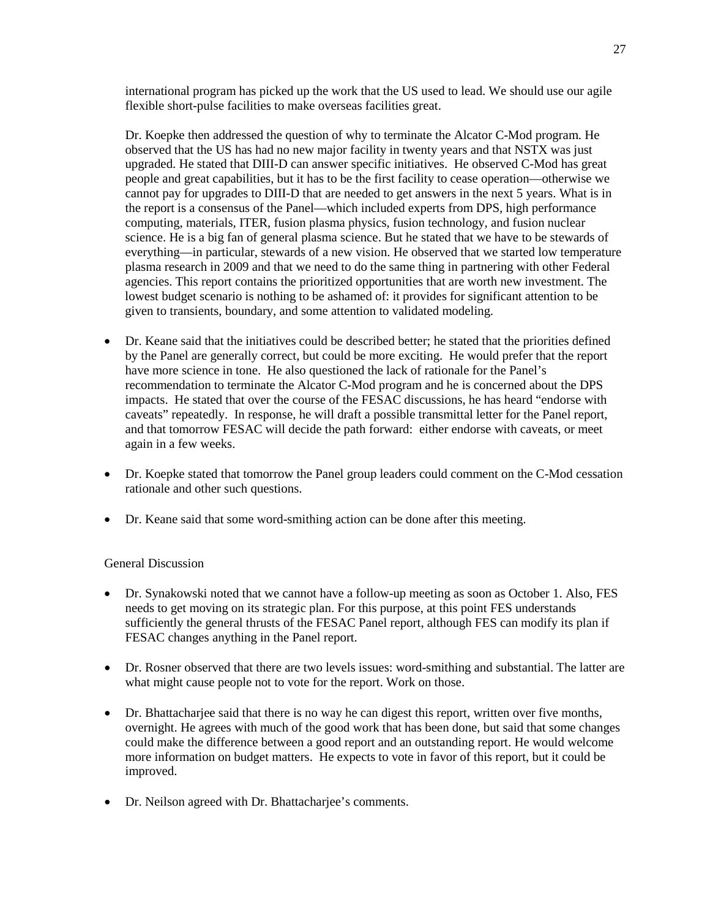international program has picked up the work that the US used to lead. We should use our agile flexible short-pulse facilities to make overseas facilities great.

Dr. Koepke then addressed the question of why to terminate the Alcator C-Mod program. He observed that the US has had no new major facility in twenty years and that NSTX was just upgraded. He stated that DIII-D can answer specific initiatives. He observed C-Mod has great people and great capabilities, but it has to be the first facility to cease operation—otherwise we cannot pay for upgrades to DIII-D that are needed to get answers in the next 5 years. What is in the report is a consensus of the Panel—which included experts from DPS, high performance computing, materials, ITER, fusion plasma physics, fusion technology, and fusion nuclear science. He is a big fan of general plasma science. But he stated that we have to be stewards of everything—in particular, stewards of a new vision. He observed that we started low temperature plasma research in 2009 and that we need to do the same thing in partnering with other Federal agencies. This report contains the prioritized opportunities that are worth new investment. The lowest budget scenario is nothing to be ashamed of: it provides for significant attention to be given to transients, boundary, and some attention to validated modeling.

- Dr. Keane said that the initiatives could be described better; he stated that the priorities defined by the Panel are generally correct, but could be more exciting. He would prefer that the report have more science in tone. He also questioned the lack of rationale for the Panel's recommendation to terminate the Alcator C-Mod program and he is concerned about the DPS impacts. He stated that over the course of the FESAC discussions, he has heard "endorse with caveats" repeatedly. In response, he will draft a possible transmittal letter for the Panel report, and that tomorrow FESAC will decide the path forward: either endorse with caveats, or meet again in a few weeks.
- Dr. Koepke stated that tomorrow the Panel group leaders could comment on the C-Mod cessation rationale and other such questions.
- Dr. Keane said that some word-smithing action can be done after this meeting.

# General Discussion

- Dr. Synakowski noted that we cannot have a follow-up meeting as soon as October 1. Also, FES needs to get moving on its strategic plan. For this purpose, at this point FES understands sufficiently the general thrusts of the FESAC Panel report, although FES can modify its plan if FESAC changes anything in the Panel report.
- Dr. Rosner observed that there are two levels issues: word-smithing and substantial. The latter are what might cause people not to vote for the report. Work on those.
- Dr. Bhattacharjee said that there is no way he can digest this report, written over five months, overnight. He agrees with much of the good work that has been done, but said that some changes could make the difference between a good report and an outstanding report. He would welcome more information on budget matters. He expects to vote in favor of this report, but it could be improved.
- Dr. Neilson agreed with Dr. Bhattacharjee's comments.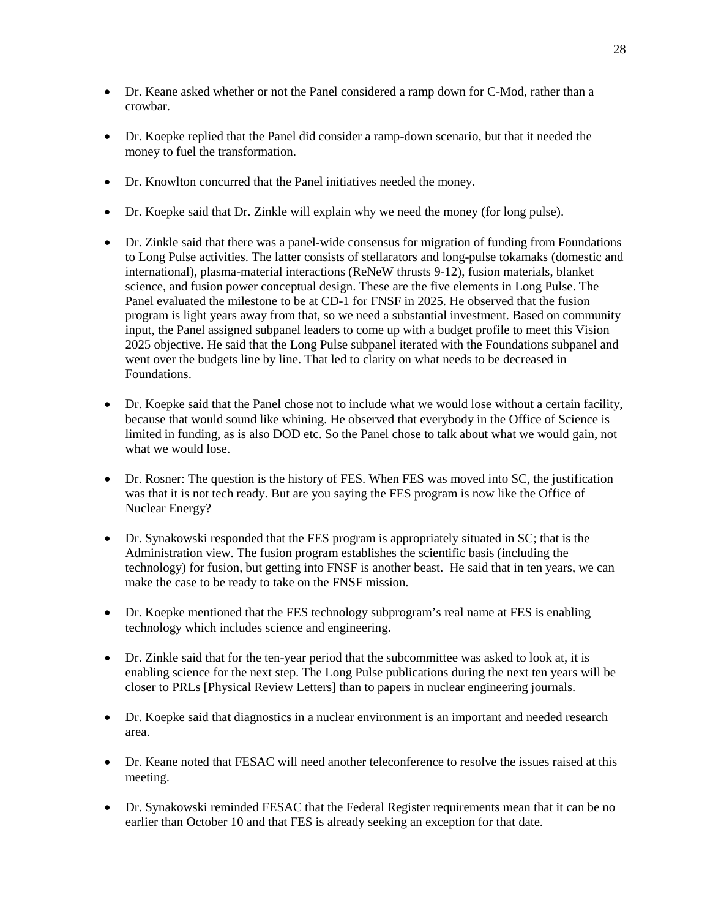- Dr. Keane asked whether or not the Panel considered a ramp down for C-Mod, rather than a crowbar.
- Dr. Koepke replied that the Panel did consider a ramp-down scenario, but that it needed the money to fuel the transformation.
- Dr. Knowlton concurred that the Panel initiatives needed the money.
- Dr. Koepke said that Dr. Zinkle will explain why we need the money (for long pulse).
- Dr. Zinkle said that there was a panel-wide consensus for migration of funding from Foundations to Long Pulse activities. The latter consists of stellarators and long-pulse tokamaks (domestic and international), plasma-material interactions (ReNeW thrusts 9-12), fusion materials, blanket science, and fusion power conceptual design. These are the five elements in Long Pulse. The Panel evaluated the milestone to be at CD-1 for FNSF in 2025. He observed that the fusion program is light years away from that, so we need a substantial investment. Based on community input, the Panel assigned subpanel leaders to come up with a budget profile to meet this Vision 2025 objective. He said that the Long Pulse subpanel iterated with the Foundations subpanel and went over the budgets line by line. That led to clarity on what needs to be decreased in Foundations.
- Dr. Koepke said that the Panel chose not to include what we would lose without a certain facility, because that would sound like whining. He observed that everybody in the Office of Science is limited in funding, as is also DOD etc. So the Panel chose to talk about what we would gain, not what we would lose.
- Dr. Rosner: The question is the history of FES. When FES was moved into SC, the justification was that it is not tech ready. But are you saying the FES program is now like the Office of Nuclear Energy?
- Dr. Synakowski responded that the FES program is appropriately situated in SC; that is the Administration view. The fusion program establishes the scientific basis (including the technology) for fusion, but getting into FNSF is another beast. He said that in ten years, we can make the case to be ready to take on the FNSF mission.
- Dr. Koepke mentioned that the FES technology subprogram's real name at FES is enabling technology which includes science and engineering.
- Dr. Zinkle said that for the ten-year period that the subcommittee was asked to look at, it is enabling science for the next step. The Long Pulse publications during the next ten years will be closer to PRLs [Physical Review Letters] than to papers in nuclear engineering journals.
- Dr. Koepke said that diagnostics in a nuclear environment is an important and needed research area.
- Dr. Keane noted that FESAC will need another teleconference to resolve the issues raised at this meeting.
- Dr. Synakowski reminded FESAC that the Federal Register requirements mean that it can be no earlier than October 10 and that FES is already seeking an exception for that date.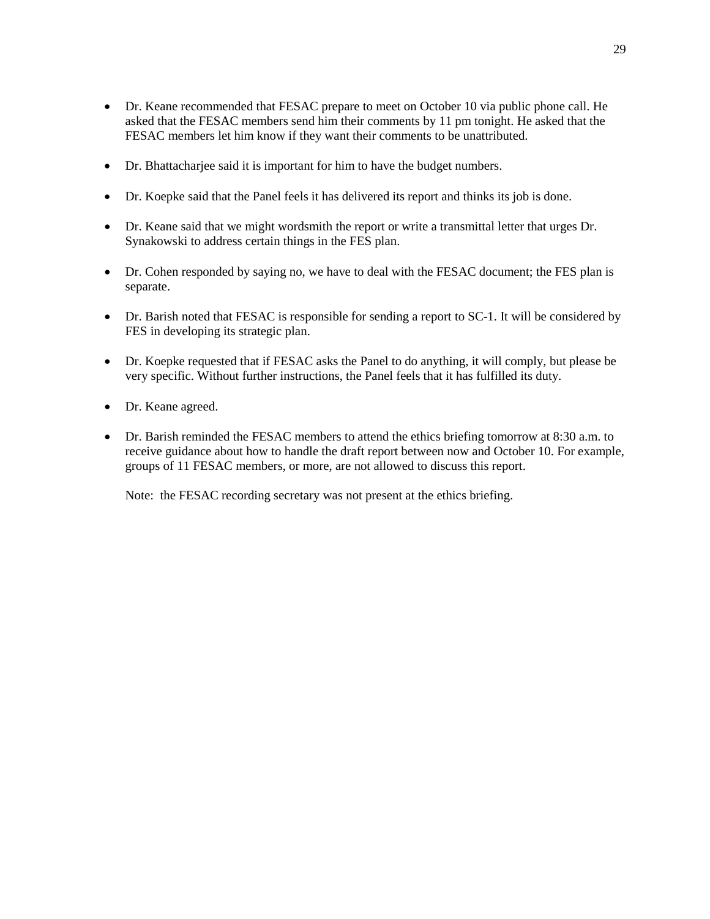- Dr. Keane recommended that FESAC prepare to meet on October 10 via public phone call. He asked that the FESAC members send him their comments by 11 pm tonight. He asked that the FESAC members let him know if they want their comments to be unattributed.
- Dr. Bhattacharjee said it is important for him to have the budget numbers.
- Dr. Koepke said that the Panel feels it has delivered its report and thinks its job is done.
- Dr. Keane said that we might wordsmith the report or write a transmittal letter that urges Dr. Synakowski to address certain things in the FES plan.
- Dr. Cohen responded by saying no, we have to deal with the FESAC document; the FES plan is separate.
- Dr. Barish noted that FESAC is responsible for sending a report to SC-1. It will be considered by FES in developing its strategic plan.
- Dr. Koepke requested that if FESAC asks the Panel to do anything, it will comply, but please be very specific. Without further instructions, the Panel feels that it has fulfilled its duty.
- Dr. Keane agreed.
- Dr. Barish reminded the FESAC members to attend the ethics briefing tomorrow at 8:30 a.m. to receive guidance about how to handle the draft report between now and October 10. For example, groups of 11 FESAC members, or more, are not allowed to discuss this report.

Note: the FESAC recording secretary was not present at the ethics briefing.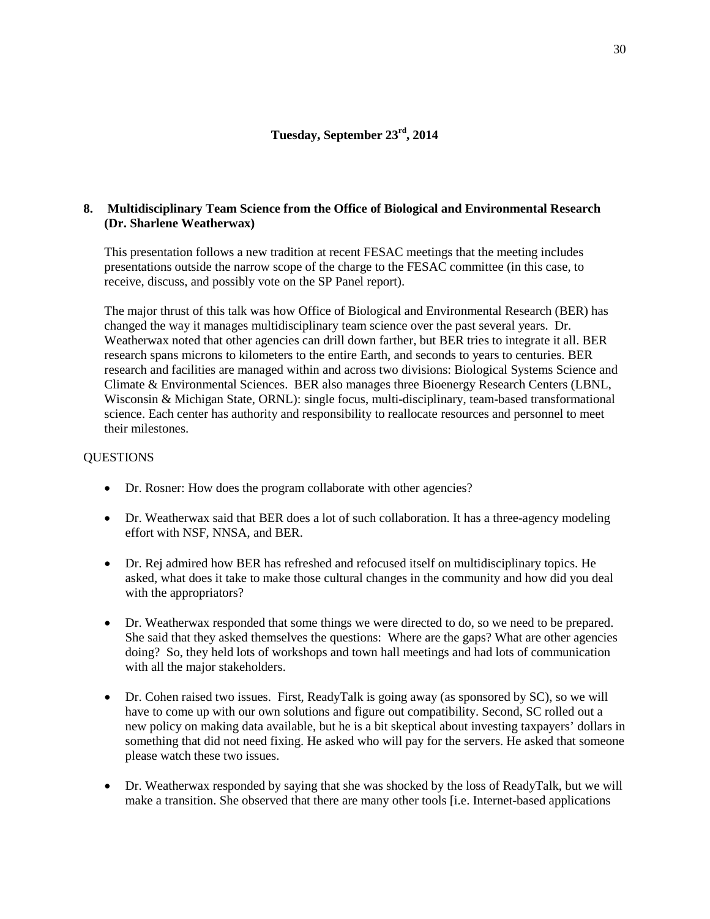# **8. Multidisciplinary Team Science from the Office of Biological and Environmental Research (Dr. Sharlene Weatherwax)**

This presentation follows a new tradition at recent FESAC meetings that the meeting includes presentations outside the narrow scope of the charge to the FESAC committee (in this case, to receive, discuss, and possibly vote on the SP Panel report).

The major thrust of this talk was how Office of Biological and Environmental Research (BER) has changed the way it manages multidisciplinary team science over the past several years. Dr. Weatherwax noted that other agencies can drill down farther, but BER tries to integrate it all. BER research spans microns to kilometers to the entire Earth, and seconds to years to centuries. BER research and facilities are managed within and across two divisions: Biological Systems Science and Climate & Environmental Sciences. BER also manages three Bioenergy Research Centers (LBNL, Wisconsin & Michigan State, ORNL): single focus, multi-disciplinary, team-based transformational science. Each center has authority and responsibility to reallocate resources and personnel to meet their milestones.

## **QUESTIONS**

- Dr. Rosner: How does the program collaborate with other agencies?
- Dr. Weatherwax said that BER does a lot of such collaboration. It has a three-agency modeling effort with NSF, NNSA, and BER.
- Dr. Rej admired how BER has refreshed and refocused itself on multidisciplinary topics. He asked, what does it take to make those cultural changes in the community and how did you deal with the appropriators?
- Dr. Weatherwax responded that some things we were directed to do, so we need to be prepared. She said that they asked themselves the questions: Where are the gaps? What are other agencies doing? So, they held lots of workshops and town hall meetings and had lots of communication with all the major stakeholders.
- Dr. Cohen raised two issues. First, ReadyTalk is going away (as sponsored by SC), so we will have to come up with our own solutions and figure out compatibility. Second, SC rolled out a new policy on making data available, but he is a bit skeptical about investing taxpayers' dollars in something that did not need fixing. He asked who will pay for the servers. He asked that someone please watch these two issues.
- Dr. Weatherwax responded by saying that she was shocked by the loss of ReadyTalk, but we will make a transition. She observed that there are many other tools [i.e. Internet-based applications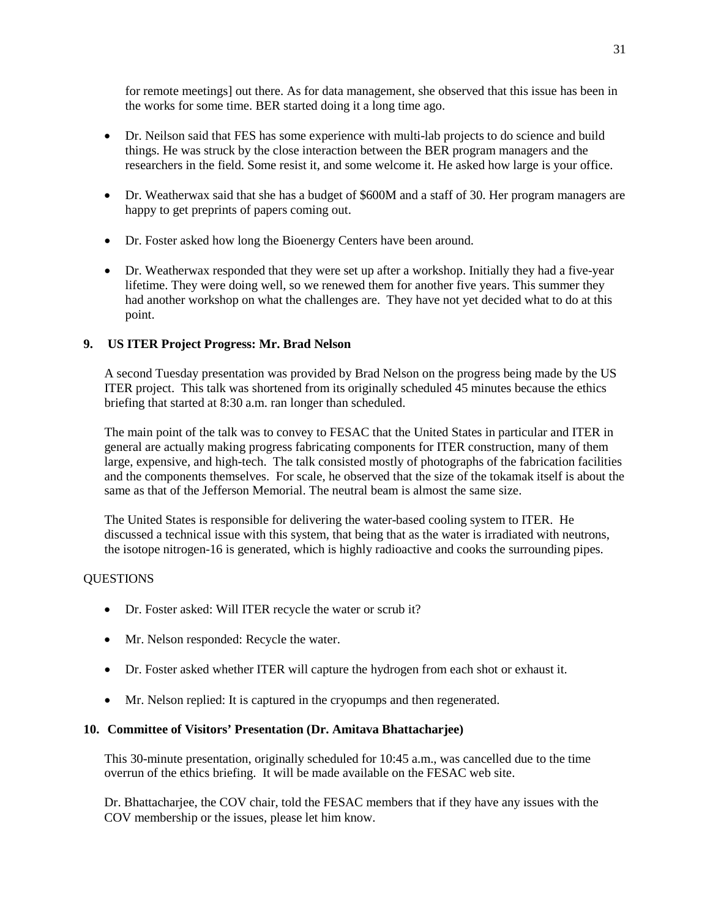for remote meetings] out there. As for data management, she observed that this issue has been in the works for some time. BER started doing it a long time ago.

- Dr. Neilson said that FES has some experience with multi-lab projects to do science and build things. He was struck by the close interaction between the BER program managers and the researchers in the field. Some resist it, and some welcome it. He asked how large is your office.
- Dr. Weatherwax said that she has a budget of \$600M and a staff of 30. Her program managers are happy to get preprints of papers coming out.
- Dr. Foster asked how long the Bioenergy Centers have been around.
- Dr. Weatherwax responded that they were set up after a workshop. Initially they had a five-year lifetime. They were doing well, so we renewed them for another five years. This summer they had another workshop on what the challenges are. They have not yet decided what to do at this point.

# **9. US ITER Project Progress: Mr. Brad Nelson**

A second Tuesday presentation was provided by Brad Nelson on the progress being made by the US ITER project. This talk was shortened from its originally scheduled 45 minutes because the ethics briefing that started at 8:30 a.m. ran longer than scheduled.

The main point of the talk was to convey to FESAC that the United States in particular and ITER in general are actually making progress fabricating components for ITER construction, many of them large, expensive, and high-tech. The talk consisted mostly of photographs of the fabrication facilities and the components themselves. For scale, he observed that the size of the tokamak itself is about the same as that of the Jefferson Memorial. The neutral beam is almost the same size.

The United States is responsible for delivering the water-based cooling system to ITER. He discussed a technical issue with this system, that being that as the water is irradiated with neutrons, the isotope nitrogen-16 is generated, which is highly radioactive and cooks the surrounding pipes.

# **QUESTIONS**

- Dr. Foster asked: Will ITER recycle the water or scrub it?
- Mr. Nelson responded: Recycle the water.
- Dr. Foster asked whether ITER will capture the hydrogen from each shot or exhaust it.
- Mr. Nelson replied: It is captured in the cryopumps and then regenerated.

# **10. Committee of Visitors' Presentation (Dr. Amitava Bhattacharjee)**

This 30-minute presentation, originally scheduled for 10:45 a.m., was cancelled due to the time overrun of the ethics briefing. It will be made available on the FESAC web site.

Dr. Bhattacharjee, the COV chair, told the FESAC members that if they have any issues with the COV membership or the issues, please let him know.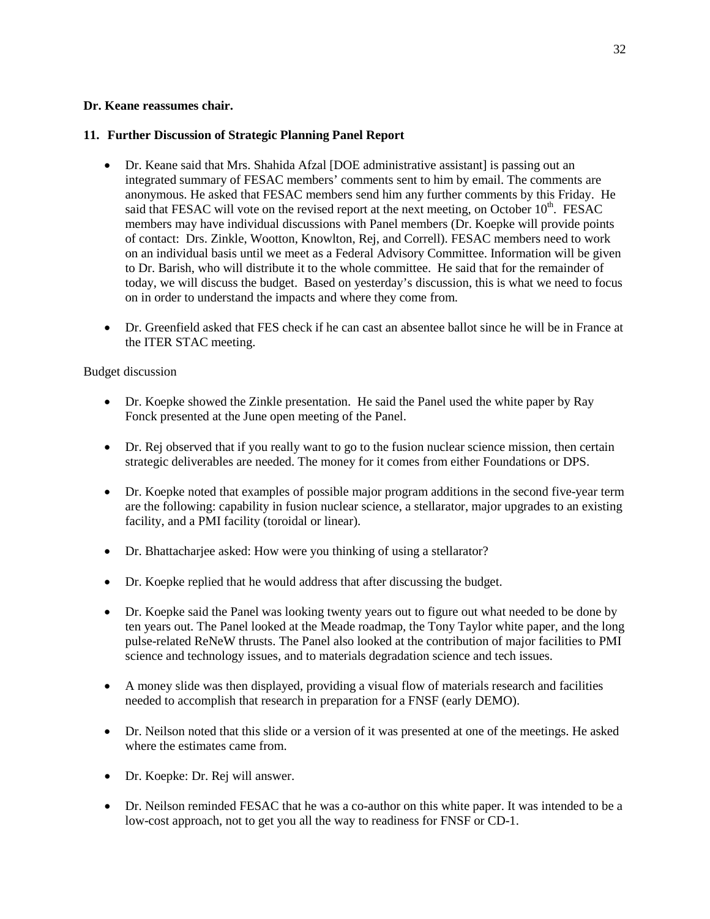# **Dr. Keane reassumes chair.**

# **11. Further Discussion of Strategic Planning Panel Report**

- Dr. Keane said that Mrs. Shahida Afzal [DOE administrative assistant] is passing out an integrated summary of FESAC members' comments sent to him by email. The comments are anonymous. He asked that FESAC members send him any further comments by this Friday. He said that FESAC will vote on the revised report at the next meeting, on October  $10<sup>th</sup>$ . FESAC members may have individual discussions with Panel members (Dr. Koepke will provide points of contact: Drs. Zinkle, Wootton, Knowlton, Rej, and Correll). FESAC members need to work on an individual basis until we meet as a Federal Advisory Committee. Information will be given to Dr. Barish, who will distribute it to the whole committee. He said that for the remainder of today, we will discuss the budget. Based on yesterday's discussion, this is what we need to focus on in order to understand the impacts and where they come from.
- Dr. Greenfield asked that FES check if he can cast an absentee ballot since he will be in France at the ITER STAC meeting.

## Budget discussion

- Dr. Koepke showed the Zinkle presentation. He said the Panel used the white paper by Ray Fonck presented at the June open meeting of the Panel.
- Dr. Rej observed that if you really want to go to the fusion nuclear science mission, then certain strategic deliverables are needed. The money for it comes from either Foundations or DPS.
- Dr. Koepke noted that examples of possible major program additions in the second five-year term are the following: capability in fusion nuclear science, a stellarator, major upgrades to an existing facility, and a PMI facility (toroidal or linear).
- Dr. Bhattachariee asked: How were you thinking of using a stellarator?
- Dr. Koepke replied that he would address that after discussing the budget.
- Dr. Koepke said the Panel was looking twenty years out to figure out what needed to be done by ten years out. The Panel looked at the Meade roadmap, the Tony Taylor white paper, and the long pulse-related ReNeW thrusts. The Panel also looked at the contribution of major facilities to PMI science and technology issues, and to materials degradation science and tech issues.
- A money slide was then displayed, providing a visual flow of materials research and facilities needed to accomplish that research in preparation for a FNSF (early DEMO).
- Dr. Neilson noted that this slide or a version of it was presented at one of the meetings. He asked where the estimates came from.
- Dr. Koepke: Dr. Rej will answer.
- Dr. Neilson reminded FESAC that he was a co-author on this white paper. It was intended to be a low-cost approach, not to get you all the way to readiness for FNSF or CD-1.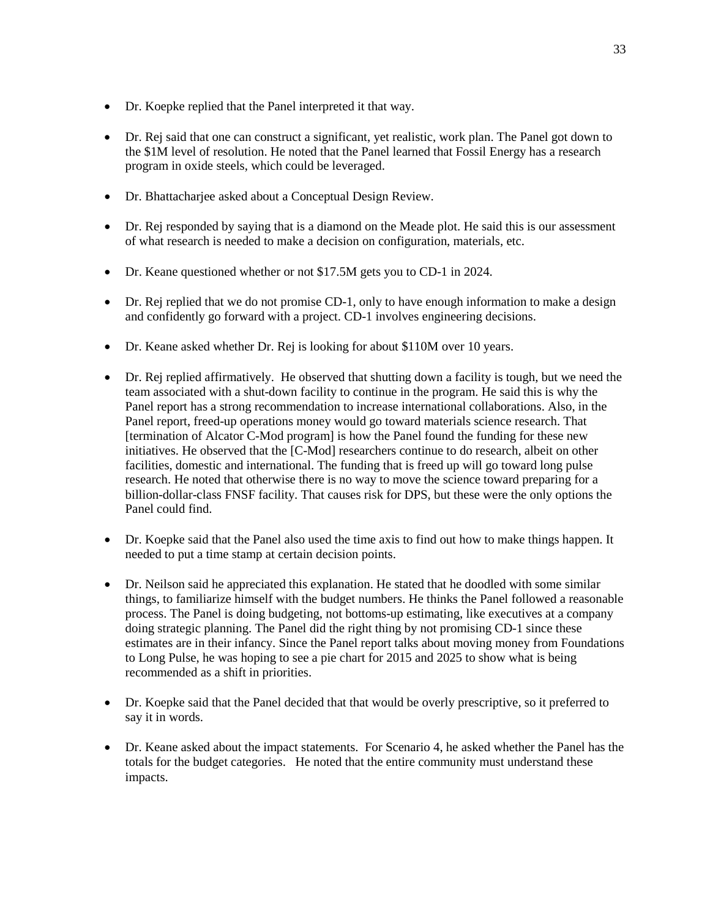- Dr. Koepke replied that the Panel interpreted it that way.
- Dr. Rej said that one can construct a significant, yet realistic, work plan. The Panel got down to the \$1M level of resolution. He noted that the Panel learned that Fossil Energy has a research program in oxide steels, which could be leveraged.
- Dr. Bhattacharjee asked about a Conceptual Design Review.
- Dr. Rej responded by saying that is a diamond on the Meade plot. He said this is our assessment of what research is needed to make a decision on configuration, materials, etc.
- Dr. Keane questioned whether or not \$17.5M gets you to CD-1 in 2024.
- Dr. Rej replied that we do not promise CD-1, only to have enough information to make a design and confidently go forward with a project. CD-1 involves engineering decisions.
- Dr. Keane asked whether Dr. Rej is looking for about \$110M over 10 years.
- Dr. Rej replied affirmatively. He observed that shutting down a facility is tough, but we need the team associated with a shut-down facility to continue in the program. He said this is why the Panel report has a strong recommendation to increase international collaborations. Also, in the Panel report, freed-up operations money would go toward materials science research. That [termination of Alcator C-Mod program] is how the Panel found the funding for these new initiatives. He observed that the [C-Mod] researchers continue to do research, albeit on other facilities, domestic and international. The funding that is freed up will go toward long pulse research. He noted that otherwise there is no way to move the science toward preparing for a billion-dollar-class FNSF facility. That causes risk for DPS, but these were the only options the Panel could find.
- Dr. Koepke said that the Panel also used the time axis to find out how to make things happen. It needed to put a time stamp at certain decision points.
- Dr. Neilson said he appreciated this explanation. He stated that he doodled with some similar things, to familiarize himself with the budget numbers. He thinks the Panel followed a reasonable process. The Panel is doing budgeting, not bottoms-up estimating, like executives at a company doing strategic planning. The Panel did the right thing by not promising CD-1 since these estimates are in their infancy. Since the Panel report talks about moving money from Foundations to Long Pulse, he was hoping to see a pie chart for 2015 and 2025 to show what is being recommended as a shift in priorities.
- Dr. Koepke said that the Panel decided that that would be overly prescriptive, so it preferred to say it in words.
- Dr. Keane asked about the impact statements. For Scenario 4, he asked whether the Panel has the totals for the budget categories. He noted that the entire community must understand these impacts.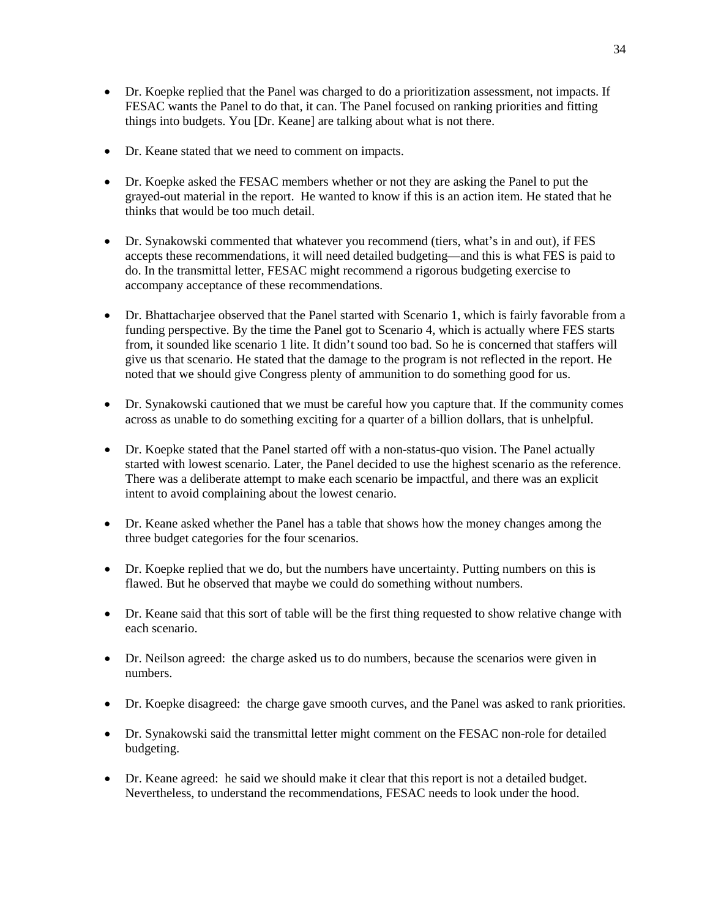- Dr. Koepke replied that the Panel was charged to do a prioritization assessment, not impacts. If FESAC wants the Panel to do that, it can. The Panel focused on ranking priorities and fitting things into budgets. You [Dr. Keane] are talking about what is not there.
- Dr. Keane stated that we need to comment on impacts.
- Dr. Koepke asked the FESAC members whether or not they are asking the Panel to put the grayed-out material in the report. He wanted to know if this is an action item. He stated that he thinks that would be too much detail.
- Dr. Synakowski commented that whatever you recommend (tiers, what's in and out), if FES accepts these recommendations, it will need detailed budgeting—and this is what FES is paid to do. In the transmittal letter, FESAC might recommend a rigorous budgeting exercise to accompany acceptance of these recommendations.
- Dr. Bhattacharjee observed that the Panel started with Scenario 1, which is fairly favorable from a funding perspective. By the time the Panel got to Scenario 4, which is actually where FES starts from, it sounded like scenario 1 lite. It didn't sound too bad. So he is concerned that staffers will give us that scenario. He stated that the damage to the program is not reflected in the report. He noted that we should give Congress plenty of ammunition to do something good for us.
- Dr. Synakowski cautioned that we must be careful how you capture that. If the community comes across as unable to do something exciting for a quarter of a billion dollars, that is unhelpful.
- Dr. Koepke stated that the Panel started off with a non-status-quo vision. The Panel actually started with lowest scenario. Later, the Panel decided to use the highest scenario as the reference. There was a deliberate attempt to make each scenario be impactful, and there was an explicit intent to avoid complaining about the lowest cenario.
- Dr. Keane asked whether the Panel has a table that shows how the money changes among the three budget categories for the four scenarios.
- Dr. Koepke replied that we do, but the numbers have uncertainty. Putting numbers on this is flawed. But he observed that maybe we could do something without numbers.
- Dr. Keane said that this sort of table will be the first thing requested to show relative change with each scenario.
- Dr. Neilson agreed: the charge asked us to do numbers, because the scenarios were given in numbers.
- Dr. Koepke disagreed: the charge gave smooth curves, and the Panel was asked to rank priorities.
- Dr. Synakowski said the transmittal letter might comment on the FESAC non-role for detailed budgeting.
- Dr. Keane agreed: he said we should make it clear that this report is not a detailed budget. Nevertheless, to understand the recommendations, FESAC needs to look under the hood.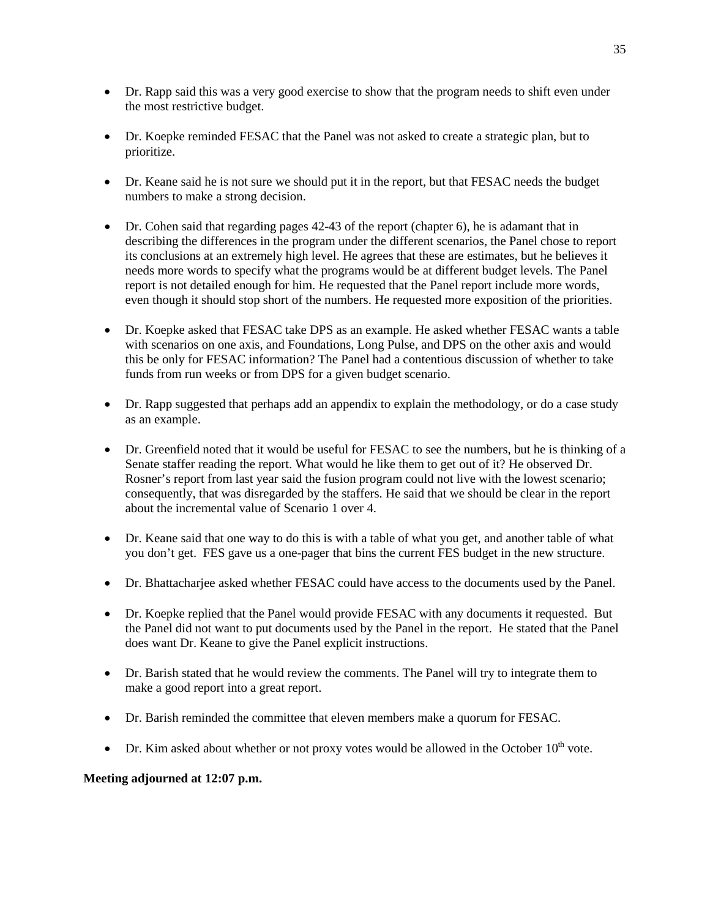- Dr. Rapp said this was a very good exercise to show that the program needs to shift even under the most restrictive budget.
- Dr. Koepke reminded FESAC that the Panel was not asked to create a strategic plan, but to prioritize.
- Dr. Keane said he is not sure we should put it in the report, but that FESAC needs the budget numbers to make a strong decision.
- Dr. Cohen said that regarding pages 42-43 of the report (chapter 6), he is adamant that in describing the differences in the program under the different scenarios, the Panel chose to report its conclusions at an extremely high level. He agrees that these are estimates, but he believes it needs more words to specify what the programs would be at different budget levels. The Panel report is not detailed enough for him. He requested that the Panel report include more words, even though it should stop short of the numbers. He requested more exposition of the priorities.
- Dr. Koepke asked that FESAC take DPS as an example. He asked whether FESAC wants a table with scenarios on one axis, and Foundations, Long Pulse, and DPS on the other axis and would this be only for FESAC information? The Panel had a contentious discussion of whether to take funds from run weeks or from DPS for a given budget scenario.
- Dr. Rapp suggested that perhaps add an appendix to explain the methodology, or do a case study as an example.
- Dr. Greenfield noted that it would be useful for FESAC to see the numbers, but he is thinking of a Senate staffer reading the report. What would he like them to get out of it? He observed Dr. Rosner's report from last year said the fusion program could not live with the lowest scenario; consequently, that was disregarded by the staffers. He said that we should be clear in the report about the incremental value of Scenario 1 over 4.
- Dr. Keane said that one way to do this is with a table of what you get, and another table of what you don't get. FES gave us a one-pager that bins the current FES budget in the new structure.
- Dr. Bhattacharjee asked whether FESAC could have access to the documents used by the Panel.
- Dr. Koepke replied that the Panel would provide FESAC with any documents it requested. But the Panel did not want to put documents used by the Panel in the report. He stated that the Panel does want Dr. Keane to give the Panel explicit instructions.
- Dr. Barish stated that he would review the comments. The Panel will try to integrate them to make a good report into a great report.
- Dr. Barish reminded the committee that eleven members make a quorum for FESAC.
- Dr. Kim asked about whether or not proxy votes would be allowed in the October  $10^{th}$  vote.

# **Meeting adjourned at 12:07 p.m.**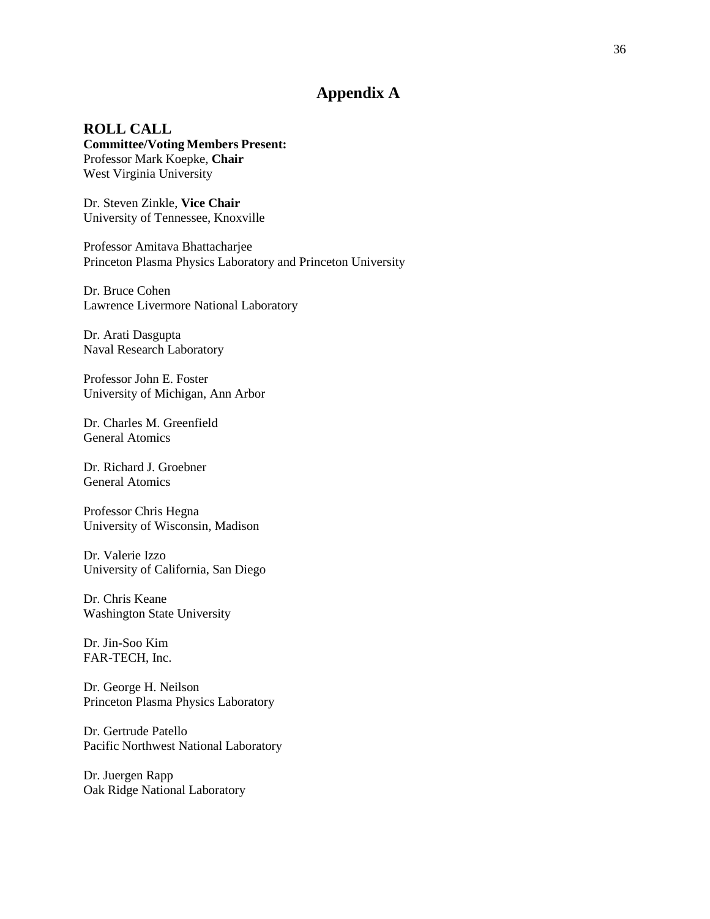# **Appendix A**

**ROLL CALL Committee/Voting Members Present:** Professor Mark Koepke, **Chair** West Virginia University

Dr. Steven Zinkle, **Vice Chair** University of Tennessee, Knoxville

Professor Amitava Bhattacharjee Princeton Plasma Physics Laboratory and Princeton University

Dr. Bruce Cohen Lawrence Livermore National Laboratory

Dr. Arati Dasgupta Naval Research Laboratory

Professor John E. Foster University of Michigan, Ann Arbor

Dr. Charles M. Greenfield General Atomics

Dr. Richard J. Groebner General Atomics

Professor Chris Hegna University of Wisconsin, Madison

Dr. Valerie Izzo University of California, San Diego

Dr. Chris Keane Washington State University

Dr. Jin-Soo Kim FAR-TECH, Inc.

Dr. George H. Neilson Princeton Plasma Physics Laboratory

Dr. Gertrude Patello Pacific Northwest National Laboratory

Dr. Juergen Rapp Oak Ridge National Laboratory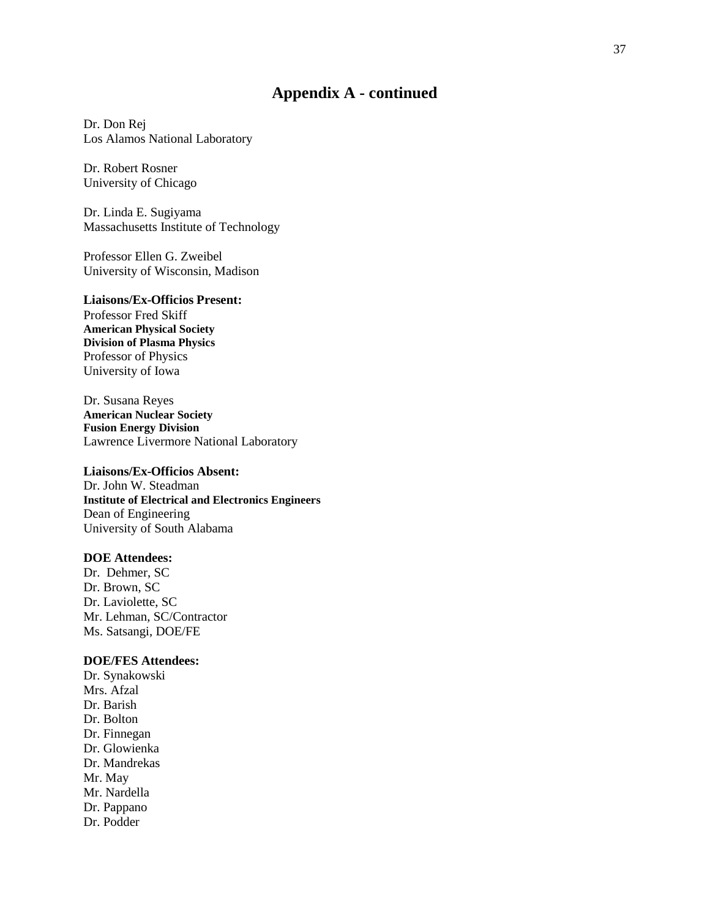# **Appendix A - continued**

Dr. Don Rej Los Alamos National Laboratory

Dr. Robert Rosner University of Chicago

Dr. Linda E. Sugiyama Massachusetts Institute of Technology

Professor Ellen G. Zweibel University of Wisconsin, Madison

## **Liaisons/Ex-Officios Present:**

Professor Fred Skiff **American Physical Society Division of Plasma Physics** Professor of Physics University of Iowa

Dr. Susana Reyes **American Nuclear Society Fusion Energy Division** Lawrence Livermore National Laboratory

## **Liaisons/Ex-Officios Absent:**

Dr. John W. Steadman **Institute of Electrical and Electronics Engineers** Dean of Engineering University of South Alabama

# **DOE Attendees:**

Dr. Dehmer, SC Dr. Brown, SC Dr. Laviolette, SC Mr. Lehman, SC/Contractor Ms. Satsangi, DOE/FE

## **DOE/FES Attendees:**

Dr. Synakowski Mrs. Afzal Dr. Barish Dr. Bolton Dr. Finnegan Dr. Glowienka Dr. Mandrekas Mr. May Mr. Nardella Dr. Pappano Dr. Podder